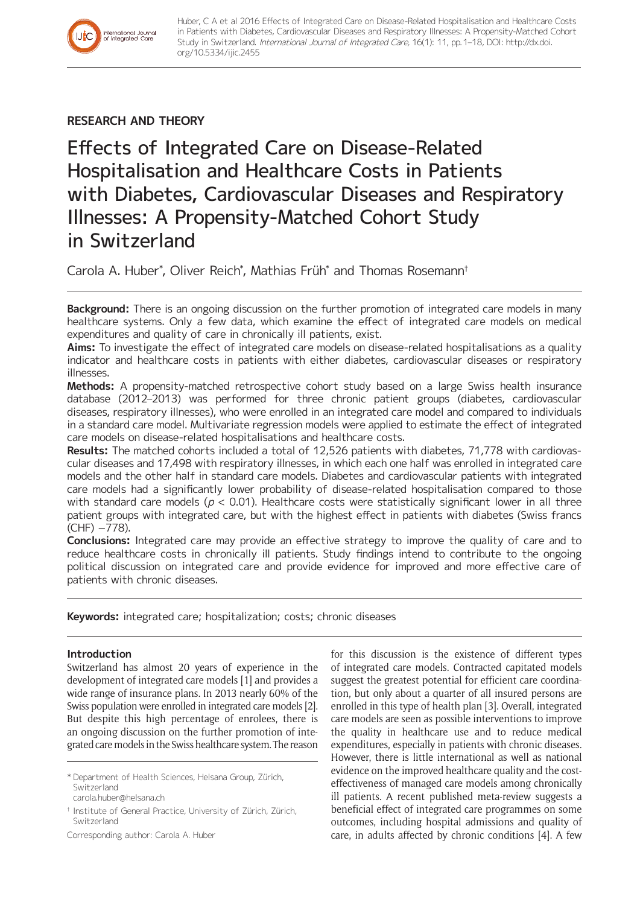# **RESEARCH AND THEORY**

International Journal<br>of Integrated Care

Effects of Integrated Care on Disease-Related Hospitalisation and Healthcare Costs in Patients with Diabetes, Cardiovascular Diseases and Respiratory Illnesses: A Propensity-Matched Cohort Study in Switzerland

Carola A. Huber\* , Oliver Reich\* , Mathias Früh\* and Thomas Rosemann†

**Background:** There is an ongoing discussion on the further promotion of integrated care models in many healthcare systems. Only a few data, which examine the effect of integrated care models on medical expenditures and quality of care in chronically ill patients, exist.

**Aims:** To investigate the effect of integrated care models on disease-related hospitalisations as a quality indicator and healthcare costs in patients with either diabetes, cardiovascular diseases or respiratory illnesses.

**Methods:** A propensity-matched retrospective cohort study based on a large Swiss health insurance database (2012–2013) was performed for three chronic patient groups (diabetes, cardiovascular diseases, respiratory illnesses), who were enrolled in an integrated care model and compared to individuals in a standard care model. Multivariate regression models were applied to estimate the effect of integrated care models on disease-related hospitalisations and healthcare costs.

**Results:** The matched cohorts included a total of 12,526 patients with diabetes, 71,778 with cardiovascular diseases and 17,498 with respiratory illnesses, in which each one half was enrolled in integrated care models and the other half in standard care models. Diabetes and cardiovascular patients with integrated care models had a significantly lower probability of disease-related hospitalisation compared to those with standard care models ( $p < 0.01$ ). Healthcare costs were statistically significant lower in all three patient groups with integrated care, but with the highest effect in patients with diabetes (Swiss francs (CHF) −778).

**Conclusions:** Integrated care may provide an effective strategy to improve the quality of care and to reduce healthcare costs in chronically ill patients. Study findings intend to contribute to the ongoing political discussion on integrated care and provide evidence for improved and more effective care of patients with chronic diseases.

**Keywords:** integrated care; hospitalization; costs; chronic diseases

# **Introduction**

Switzerland has almost 20 years of experience in the development of integrated care models [1] and provides a wide range of insurance plans. In 2013 nearly 60% of the Swiss population were enrolled in integrated care models [2]. But despite this high percentage of enrolees, there is an ongoing discussion on the further promotion of integrated care models in the Swiss healthcare system. The reason

\* Department of Health Sciences, Helsana Group, Zürich, Switzerland

[carola.huber@helsana.ch](mailto:carola.huber@helsana.ch)

† Institute of General Practice, University of Zürich, Zürich, Switzerland

Corresponding author: Carola A. Huber

for this discussion is the existence of different types of integrated care models. Contracted capitated models suggest the greatest potential for efficient care coordination, but only about a quarter of all insured persons are enrolled in this type of health plan [3]. Overall, integrated care models are seen as possible interventions to improve the quality in healthcare use and to reduce medical expenditures, especially in patients with chronic diseases. However, there is little international as well as national evidence on the improved healthcare quality and the costeffectiveness of managed care models among chronically ill patients. A recent published meta-review suggests a beneficial effect of integrated care programmes on some outcomes, including hospital admissions and quality of care, in adults affected by chronic conditions [4]. A few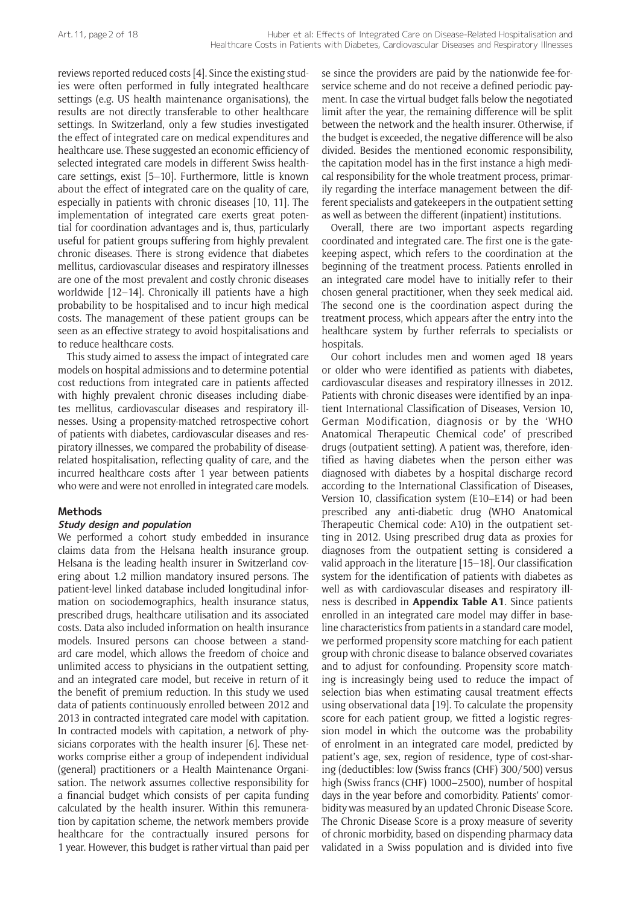reviews reported reduced costs [4]. Since the existing studies were often performed in fully integrated healthcare settings (e.g. US health maintenance organisations), the results are not directly transferable to other healthcare settings. In Switzerland, only a few studies investigated the effect of integrated care on medical expenditures and healthcare use. These suggested an economic efficiency of selected integrated care models in different Swiss healthcare settings, exist [5–10]. Furthermore, little is known about the effect of integrated care on the quality of care, especially in patients with chronic diseases [10, 11]. The implementation of integrated care exerts great potential for coordination advantages and is, thus, particularly useful for patient groups suffering from highly prevalent chronic diseases. There is strong evidence that diabetes mellitus, cardiovascular diseases and respiratory illnesses are one of the most prevalent and costly chronic diseases worldwide [12–14]. Chronically ill patients have a high probability to be hospitalised and to incur high medical costs. The management of these patient groups can be seen as an effective strategy to avoid hospitalisations and to reduce healthcare costs.

This study aimed to assess the impact of integrated care models on hospital admissions and to determine potential cost reductions from integrated care in patients affected with highly prevalent chronic diseases including diabetes mellitus, cardiovascular diseases and respiratory illnesses. Using a propensity-matched retrospective cohort of patients with diabetes, cardiovascular diseases and respiratory illnesses, we compared the probability of diseaserelated hospitalisation, reflecting quality of care, and the incurred healthcare costs after 1 year between patients who were and were not enrolled in integrated care models.

### **Methods**

# **Study design and population**

We performed a cohort study embedded in insurance claims data from the Helsana health insurance group. Helsana is the leading health insurer in Switzerland covering about 1.2 million mandatory insured persons. The patient-level linked database included longitudinal information on sociodemographics, health insurance status, prescribed drugs, healthcare utilisation and its associated costs. Data also included information on health insurance models. Insured persons can choose between a standard care model, which allows the freedom of choice and unlimited access to physicians in the outpatient setting, and an integrated care model, but receive in return of it the benefit of premium reduction. In this study we used data of patients continuously enrolled between 2012 and 2013 in contracted integrated care model with capitation. In contracted models with capitation, a network of physicians corporates with the health insurer [6]. These networks comprise either a group of independent individual (general) practitioners or a Health Maintenance Organisation. The network assumes collective responsibility for a financial budget which consists of per capita funding calculated by the health insurer. Within this remuneration by capitation scheme, the network members provide healthcare for the contractually insured persons for 1 year. However, this budget is rather virtual than paid per

se since the providers are paid by the nationwide fee-forservice scheme and do not receive a defined periodic payment. In case the virtual budget falls below the negotiated limit after the year, the remaining difference will be split between the network and the health insurer. Otherwise, if the budget is exceeded, the negative difference will be also divided. Besides the mentioned economic responsibility, the capitation model has in the first instance a high medical responsibility for the whole treatment process, primarily regarding the interface management between the different specialists and gatekeepers in the outpatient setting as well as between the different (inpatient) institutions.

Overall, there are two important aspects regarding coordinated and integrated care. The first one is the gatekeeping aspect, which refers to the coordination at the beginning of the treatment process. Patients enrolled in an integrated care model have to initially refer to their chosen general practitioner, when they seek medical aid. The second one is the coordination aspect during the treatment process, which appears after the entry into the healthcare system by further referrals to specialists or hospitals.

Our cohort includes men and women aged 18 years or older who were identified as patients with diabetes, cardiovascular diseases and respiratory illnesses in 2012. Patients with chronic diseases were identified by an inpatient International Classification of Diseases, Version 10, German Modification, diagnosis or by the 'WHO Anatomical Therapeutic Chemical code' of prescribed drugs (outpatient setting). A patient was, therefore, identified as having diabetes when the person either was diagnosed with diabetes by a hospital discharge record according to the International Classification of Diseases, Version 10, classification system (E10–E14) or had been prescribed any anti-diabetic drug (WHO Anatomical Therapeutic Chemical code: A10) in the outpatient setting in 2012. Using prescribed drug data as proxies for diagnoses from the outpatient setting is considered a valid approach in the literature [15–18]. Our classification system for the identification of patients with diabetes as well as with cardiovascular diseases and respiratory illness is described in **Appendix Table A1**. Since patients enrolled in an integrated care model may differ in baseline characteristics from patients in a standard care model, we performed propensity score matching for each patient group with chronic disease to balance observed covariates and to adjust for confounding. Propensity score matching is increasingly being used to reduce the impact of selection bias when estimating causal treatment effects using observational data [19]. To calculate the propensity score for each patient group, we fitted a logistic regression model in which the outcome was the probability of enrolment in an integrated care model, predicted by patient's age, sex, region of residence, type of cost-sharing (deductibles: low (Swiss francs (CHF) 300/500) versus high (Swiss francs (CHF) 1000–2500), number of hospital days in the year before and comorbidity. Patients' comorbidity was measured by an updated Chronic Disease Score. The Chronic Disease Score is a proxy measure of severity of chronic morbidity, based on dispending pharmacy data validated in a Swiss population and is divided into five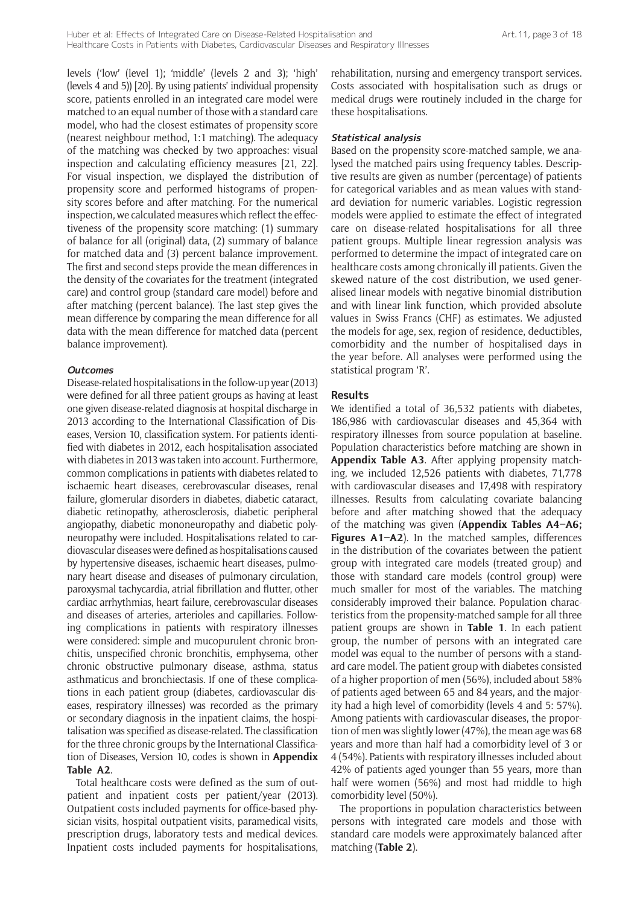levels ('low' (level 1); 'middle' (levels 2 and 3); 'high' (levels 4 and 5)) [20]. By using patients' individual propensity score, patients enrolled in an integrated care model were matched to an equal number of those with a standard care model, who had the closest estimates of propensity score (nearest neighbour method, 1:1 matching). The adequacy of the matching was checked by two approaches: visual inspection and calculating efficiency measures [21, 22]. For visual inspection, we displayed the distribution of propensity score and performed histograms of propensity scores before and after matching. For the numerical inspection, we calculated measures which reflect the effectiveness of the propensity score matching: (1) summary of balance for all (original) data, (2) summary of balance for matched data and (3) percent balance improvement. The first and second steps provide the mean differences in the density of the covariates for the treatment (integrated care) and control group (standard care model) before and after matching (percent balance). The last step gives the mean difference by comparing the mean difference for all data with the mean difference for matched data (percent balance improvement).

#### **Outcomes**

Disease-related hospitalisations in the follow-up year (2013) were defined for all three patient groups as having at least one given disease-related diagnosis at hospital discharge in 2013 according to the International Classification of Diseases, Version 10, classification system. For patients identified with diabetes in 2012, each hospitalisation associated with diabetes in 2013 was taken into account. Furthermore, common complications in patients with diabetes related to ischaemic heart diseases, cerebrovascular diseases, renal failure, glomerular disorders in diabetes, diabetic cataract, diabetic retinopathy, atherosclerosis, diabetic peripheral angiopathy, diabetic mononeuropathy and diabetic polyneuropathy were included. Hospitalisations related to cardiovascular diseases were defined as hospitalisations caused by hypertensive diseases, ischaemic heart diseases, pulmonary heart disease and diseases of pulmonary circulation, paroxysmal tachycardia, atrial fibrillation and flutter, other cardiac arrhythmias, heart failure, cerebrovascular diseases and diseases of arteries, arterioles and capillaries. Following complications in patients with respiratory illnesses were considered: simple and mucopurulent chronic bronchitis, unspecified chronic bronchitis, emphysema, other chronic obstructive pulmonary disease, asthma, status asthmaticus and bronchiectasis. If one of these complications in each patient group (diabetes, cardiovascular diseases, respiratory illnesses) was recorded as the primary or secondary diagnosis in the inpatient claims, the hospitalisation was specified as disease-related. The classification for the three chronic groups by the International Classification of Diseases, Version 10, codes is shown in **Appendix Table A2**.

Total healthcare costs were defined as the sum of outpatient and inpatient costs per patient/year (2013). Outpatient costs included payments for office-based physician visits, hospital outpatient visits, paramedical visits, prescription drugs, laboratory tests and medical devices. Inpatient costs included payments for hospitalisations,

rehabilitation, nursing and emergency transport services. Costs associated with hospitalisation such as drugs or medical drugs were routinely included in the charge for these hospitalisations.

### **Statistical analysis**

Based on the propensity score-matched sample, we analysed the matched pairs using frequency tables. Descriptive results are given as number (percentage) of patients for categorical variables and as mean values with standard deviation for numeric variables. Logistic regression models were applied to estimate the effect of integrated care on disease-related hospitalisations for all three patient groups. Multiple linear regression analysis was performed to determine the impact of integrated care on healthcare costs among chronically ill patients. Given the skewed nature of the cost distribution, we used generalised linear models with negative binomial distribution and with linear link function, which provided absolute values in Swiss Francs (CHF) as estimates. We adjusted the models for age, sex, region of residence, deductibles, comorbidity and the number of hospitalised days in the year before. All analyses were performed using the statistical program 'R'.

### **Results**

We identified a total of 36,532 patients with diabetes, 186,986 with cardiovascular diseases and 45,364 with respiratory illnesses from source population at baseline. Population characteristics before matching are shown in **Appendix Table A3**. After applying propensity matching, we included 12,526 patients with diabetes, 71,778 with cardiovascular diseases and 17,498 with respiratory illnesses. Results from calculating covariate balancing before and after matching showed that the adequacy of the matching was given (**Appendix Tables A4–A6; Figures A1–A2**). In the matched samples, differences in the distribution of the covariates between the patient group with integrated care models (treated group) and those with standard care models (control group) were much smaller for most of the variables. The matching considerably improved their balance. Population characteristics from the propensity-matched sample for all three patient groups are shown in **Table 1**. In each patient group, the number of persons with an integrated care model was equal to the number of persons with a standard care model. The patient group with diabetes consisted of a higher proportion of men (56%), included about 58% of patients aged between 65 and 84 years, and the majority had a high level of comorbidity (levels 4 and 5: 57%). Among patients with cardiovascular diseases, the proportion of men was slightly lower (47%), the mean age was 68 years and more than half had a comorbidity level of 3 or 4 (54%). Patients with respiratory illnesses included about 42% of patients aged younger than 55 years, more than half were women (56%) and most had middle to high comorbidity level (50%).

The proportions in population characteristics between persons with integrated care models and those with standard care models were approximately balanced after matching (**Table 2**).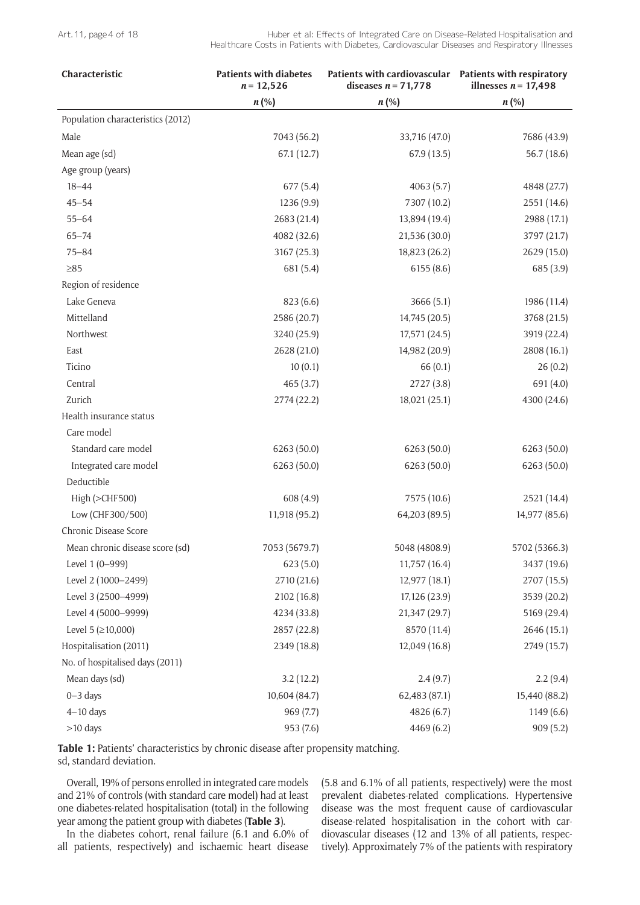| Characteristic                    | <b>Patients with diabetes</b><br>$n = 12,526$ | Patients with cardiovascular  Patients with respiratory<br>diseases $n = 71,778$ | illnesses $n = 17,498$ |
|-----------------------------------|-----------------------------------------------|----------------------------------------------------------------------------------|------------------------|
|                                   | $n(\%)$                                       | $n (\%)$                                                                         | $n$ (%)                |
| Population characteristics (2012) |                                               |                                                                                  |                        |
| Male                              | 7043 (56.2)                                   | 33,716 (47.0)                                                                    | 7686 (43.9)            |
| Mean age (sd)                     | 67.1(12.7)                                    | 67.9(13.5)                                                                       | 56.7 (18.6)            |
| Age group (years)                 |                                               |                                                                                  |                        |
| $18 - 44$                         | 677(5.4)                                      | 4063(5.7)                                                                        | 4848 (27.7)            |
| $45 - 54$                         | 1236 (9.9)                                    | 7307 (10.2)                                                                      | 2551 (14.6)            |
| $55 - 64$                         | 2683 (21.4)                                   | 13,894 (19.4)                                                                    | 2988 (17.1)            |
| $65 - 74$                         | 4082 (32.6)                                   | 21,536 (30.0)                                                                    | 3797 (21.7)            |
| $75 - 84$                         | 3167 (25.3)                                   | 18,823 (26.2)                                                                    | 2629(15.0)             |
| $\geq 85$                         | 681 (5.4)                                     | 6155(8.6)                                                                        | 685 (3.9)              |
| Region of residence               |                                               |                                                                                  |                        |
| Lake Geneva                       | 823(6.6)                                      | 3666(5.1)                                                                        | 1986 (11.4)            |
| Mittelland                        | 2586 (20.7)                                   | 14,745 (20.5)                                                                    | 3768 (21.5)            |
| Northwest                         | 3240 (25.9)                                   | 17,571 (24.5)                                                                    | 3919 (22.4)            |
| East                              | 2628 (21.0)                                   | 14,982 (20.9)                                                                    | 2808 (16.1)            |
| Ticino                            | 10(0.1)                                       | 66(0.1)                                                                          | 26(0.2)                |
| Central                           | 465(3.7)                                      | 2727 (3.8)                                                                       | 691 (4.0)              |
| Zurich                            | 2774 (22.2)                                   | 18,021 (25.1)                                                                    | 4300 (24.6)            |
| Health insurance status           |                                               |                                                                                  |                        |
| Care model                        |                                               |                                                                                  |                        |
| Standard care model               | 6263 (50.0)                                   | 6263 (50.0)                                                                      | 6263(50.0)             |
| Integrated care model             | 6263 (50.0)                                   | 6263 (50.0)                                                                      | 6263 (50.0)            |
| Deductible                        |                                               |                                                                                  |                        |
| High (>CHF500)                    | 608 (4.9)                                     | 7575 (10.6)                                                                      | 2521 (14.4)            |
| Low (CHF300/500)                  | 11,918 (95.2)                                 | 64,203 (89.5)                                                                    | 14,977 (85.6)          |
| Chronic Disease Score             |                                               |                                                                                  |                        |
| Mean chronic disease score (sd)   | 7053 (5679.7)                                 | 5048 (4808.9)                                                                    | 5702 (5366.3)          |
| Level 1 (0-999)                   | 623(5.0)                                      | 11,757 (16.4)                                                                    | 3437 (19.6)            |
| Level 2 (1000-2499)               | 2710 (21.6)                                   | 12,977 (18.1)                                                                    | 2707 (15.5)            |
| Level 3 (2500-4999)               | 2102 (16.8)                                   | 17,126 (23.9)                                                                    | 3539 (20.2)            |
| Level 4 (5000-9999)               | 4234 (33.8)                                   | 21,347 (29.7)                                                                    | 5169 (29.4)            |
| Level 5 ( $\geq$ 10,000)          | 2857 (22.8)                                   | 8570 (11.4)                                                                      | 2646 (15.1)            |
| Hospitalisation (2011)            | 2349 (18.8)                                   | 12,049 (16.8)                                                                    | 2749 (15.7)            |
| No. of hospitalised days (2011)   |                                               |                                                                                  |                        |
| Mean days (sd)                    | 3.2(12.2)                                     | 2.4(9.7)                                                                         | 2.2(9.4)               |
| $0 - 3$ days                      | 10,604 (84.7)                                 | 62,483 (87.1)                                                                    | 15,440 (88.2)          |
| $4-10$ days                       | 969 (7.7)                                     | 4826 (6.7)                                                                       | 1149(6.6)              |
| >10 days                          | 953 (7.6)                                     | 4469 (6.2)                                                                       | 909(5.2)               |

**Table 1:** Patients' characteristics by chronic disease after propensity matching. sd, standard deviation.

Overall, 19% of persons enrolled in integrated care models and 21% of controls (with standard care model) had at least one diabetes-related hospitalisation (total) in the following year among the patient group with diabetes (**Table 3**).

In the diabetes cohort, renal failure (6.1 and 6.0% of all patients, respectively) and ischaemic heart disease

(5.8 and 6.1% of all patients, respectively) were the most prevalent diabetes-related complications. Hypertensive disease was the most frequent cause of cardiovascular disease-related hospitalisation in the cohort with cardiovascular diseases (12 and 13% of all patients, respectively). Approximately 7% of the patients with respiratory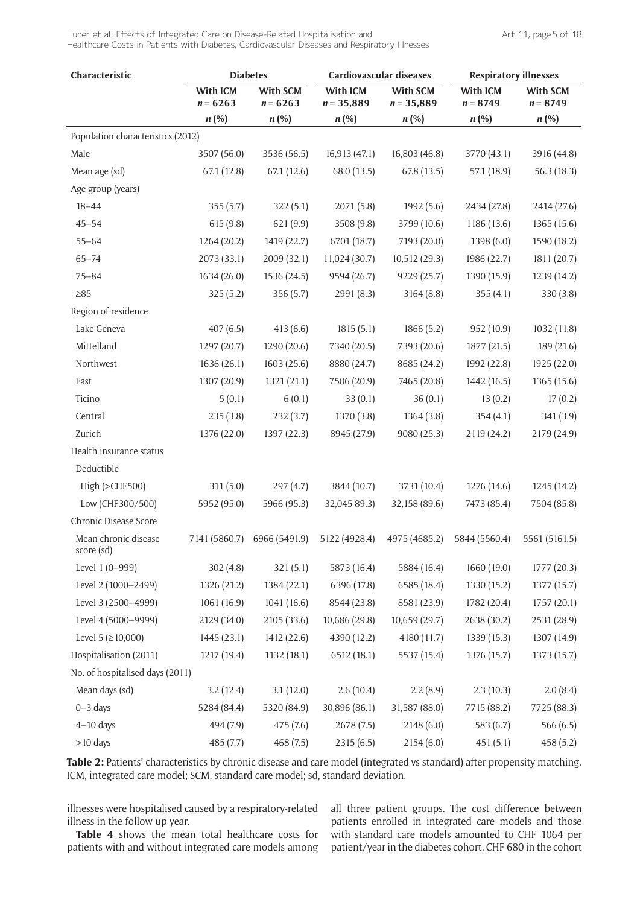| Characteristic                     |                        | <b>Diabetes</b>        | Cardiovascular diseases  |                          | <b>Respiratory illnesses</b> |                               |
|------------------------------------|------------------------|------------------------|--------------------------|--------------------------|------------------------------|-------------------------------|
|                                    | With ICM<br>$n = 6263$ | With SCM<br>$n = 6263$ | With ICM<br>$n = 35,889$ | With SCM<br>$n = 35,889$ | With ICM<br>$n = 8749$       | <b>With SCM</b><br>$n = 8749$ |
|                                    | $n(\%)$                | $n$ (%)                | $n(\%)$                  | $n$ (%)                  | $n$ (%)                      | $n (\%)$                      |
| Population characteristics (2012)  |                        |                        |                          |                          |                              |                               |
| Male                               | 3507 (56.0)            | 3536 (56.5)            | 16,913 (47.1)            | 16,803 (46.8)            | 3770 (43.1)                  | 3916 (44.8)                   |
| Mean age (sd)                      | 67.1 (12.8)            | 67.1(12.6)             | 68.0 (13.5)              | 67.8 (13.5)              | 57.1 (18.9)                  | 56.3(18.3)                    |
| Age group (years)                  |                        |                        |                          |                          |                              |                               |
| $18 - 44$                          | 355(5.7)               | 322(5.1)               | 2071(5.8)                | 1992(5.6)                | 2434 (27.8)                  | 2414 (27.6)                   |
| $45 - 54$                          | 615(9.8)               | 621 (9.9)              | 3508 (9.8)               | 3799 (10.6)              | 1186 (13.6)                  | 1365 (15.6)                   |
| $55 - 64$                          | 1264 (20.2)            | 1419 (22.7)            | 6701 (18.7)              | 7193 (20.0)              | 1398 (6.0)                   | 1590 (18.2)                   |
| $65 - 74$                          | 2073(33.1)             | 2009 (32.1)            | 11,024 (30.7)            | 10,512 (29.3)            | 1986 (22.7)                  | 1811 (20.7)                   |
| $75 - 84$                          | 1634 (26.0)            | 1536 (24.5)            | 9594 (26.7)              | 9229 (25.7)              | 1390 (15.9)                  | 1239 (14.2)                   |
| $\geq 85$                          | 325(5.2)               | 356 (5.7)              | 2991 (8.3)               | 3164(8.8)                | 355(4.1)                     | 330 (3.8)                     |
| Region of residence                |                        |                        |                          |                          |                              |                               |
| Lake Geneva                        | 407(6.5)               | 413(6.6)               | 1815(5.1)                | 1866(5.2)                | 952 (10.9)                   | 1032 (11.8)                   |
| Mittelland                         | 1297 (20.7)            | 1290 (20.6)            | 7340 (20.5)              | 7393 (20.6)              | 1877 (21.5)                  | 189 (21.6)                    |
| Northwest                          | 1636 (26.1)            | 1603 (25.6)            | 8880 (24.7)              | 8685 (24.2)              | 1992 (22.8)                  | 1925 (22.0)                   |
| East                               | 1307 (20.9)            | 1321 (21.1)            | 7506 (20.9)              | 7465 (20.8)              | 1442 (16.5)                  | 1365(15.6)                    |
| Ticino                             | 5(0.1)                 | 6(0.1)                 | 33(0.1)                  | 36(0.1)                  | 13(0.2)                      | 17(0.2)                       |
| Central                            | 235(3.8)               | 232(3.7)               | 1370 (3.8)               | 1364(3.8)                | 354(4.1)                     | 341 (3.9)                     |
| Zurich                             | 1376 (22.0)            | 1397 (22.3)            | 8945 (27.9)              | 9080 (25.3)              | 2119 (24.2)                  | 2179 (24.9)                   |
| Health insurance status            |                        |                        |                          |                          |                              |                               |
| Deductible                         |                        |                        |                          |                          |                              |                               |
| High (>CHF500)                     | 311(5.0)               | 297 (4.7)              | 3844 (10.7)              | 3731 (10.4)              | 1276 (14.6)                  | 1245(14.2)                    |
| Low (CHF300/500)                   | 5952 (95.0)            | 5966 (95.3)            | 32,045 89.3)             | 32,158 (89.6)            | 7473 (85.4)                  | 7504 (85.8)                   |
| Chronic Disease Score              |                        |                        |                          |                          |                              |                               |
| Mean chronic disease<br>score (sd) | 7141 (5860.7)          | 6966 (5491.9)          | 5122 (4928.4)            | 4975 (4685.2)            | 5844 (5560.4)                | 5561 (5161.5)                 |
| Level 1 (0-999)                    | 302(4.8)               | 321(5.1)               | 5873 (16.4)              | 5884 (16.4)              | 1660 (19.0)                  | 1777 (20.3)                   |
| Level 2 (1000-2499)                | 1326 (21.2)            | 1384 (22.1)            | 6396 (17.8)              | 6585 (18.4)              | 1330 (15.2)                  | 1377 (15.7)                   |
| Level 3 (2500-4999)                | 1061(16.9)             | 1041 (16.6)            | 8544 (23.8)              | 8581 (23.9)              | 1782 (20.4)                  | 1757(20.1)                    |
| Level 4 (5000-9999)                | 2129 (34.0)            | 2105 (33.6)            | 10,686 (29.8)            | 10,659 (29.7)            | 2638 (30.2)                  | 2531 (28.9)                   |
| Level 5 ( $\geq$ 10,000)           | 1445 (23.1)            | 1412 (22.6)            | 4390 (12.2)              | 4180 (11.7)              | 1339 (15.3)                  | 1307 (14.9)                   |
| Hospitalisation (2011)             | 1217 (19.4)            | 1132 (18.1)            | 6512 (18.1)              | 5537 (15.4)              | 1376 (15.7)                  | 1373 (15.7)                   |
| No. of hospitalised days (2011)    |                        |                        |                          |                          |                              |                               |
| Mean days (sd)                     | 3.2(12.4)              | 3.1(12.0)              | 2.6(10.4)                | 2.2(8.9)                 | 2.3(10.3)                    | 2.0(8.4)                      |
| $0 - 3$ days                       | 5284 (84.4)            | 5320 (84.9)            | 30,896 (86.1)            | 31,587 (88.0)            | 7715 (88.2)                  | 7725 (88.3)                   |
| $4-10$ days                        | 494 (7.9)              | 475 (7.6)              | 2678 (7.5)               | 2148(6.0)                | 583 (6.7)                    | 566 (6.5)                     |
| $>10$ days                         | 485 (7.7)              | 468 (7.5)              | 2315(6.5)                | 2154(6.0)                | 451(5.1)                     | 458 (5.2)                     |

**Table 2:** Patients' characteristics by chronic disease and care model (integrated vs standard) after propensity matching. ICM, integrated care model; SCM, standard care model; sd, standard deviation.

illnesses were hospitalised caused by a respiratory-related illness in the follow-up year.

**Table 4** shows the mean total healthcare costs for patients with and without integrated care models among all three patient groups. The cost difference between patients enrolled in integrated care models and those with standard care models amounted to CHF 1064 per patient/year in the diabetes cohort, CHF 680 in the cohort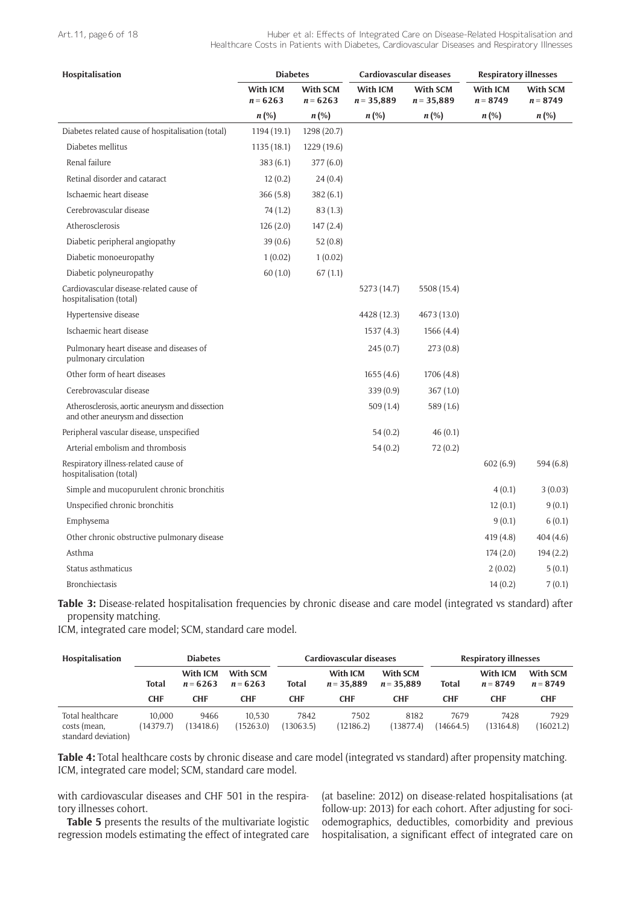#### Art. 11, page 6 of 18

Huber et al: Effects of Integrated Care on Disease-Related Hospitalisation and Healthcare Costs in Patients with Diabetes, Cardiovascular Diseases and Respiratory Illnesses

| Hospitalisation                                                                      | <b>Diabetes</b>        |                        | Cardiovascular diseases  |                          | <b>Respiratory illnesses</b> |                        |
|--------------------------------------------------------------------------------------|------------------------|------------------------|--------------------------|--------------------------|------------------------------|------------------------|
|                                                                                      | With ICM<br>$n = 6263$ | With SCM<br>$n = 6263$ | With ICM<br>$n = 35,889$ | With SCM<br>$n = 35,889$ | With ICM<br>$n = 8749$       | With SCM<br>$n = 8749$ |
|                                                                                      | $n (\%)$               | $n(\%)$                | $n(\%)$                  | $n (\%)$                 | $n\left(\% \right)$          | $n\left(\% \right)$    |
| Diabetes related cause of hospitalisation (total)                                    | 1194 (19.1)            | 1298 (20.7)            |                          |                          |                              |                        |
| Diabetes mellitus                                                                    | 1135(18.1)             | 1229 (19.6)            |                          |                          |                              |                        |
| Renal failure                                                                        | 383(6.1)               | 377 (6.0)              |                          |                          |                              |                        |
| Retinal disorder and cataract                                                        | 12(0.2)                | 24(0.4)                |                          |                          |                              |                        |
| Ischaemic heart disease                                                              | 366(5.8)               | 382(6.1)               |                          |                          |                              |                        |
| Cerebrovascular disease                                                              | 74 (1.2)               | 83(1.3)                |                          |                          |                              |                        |
| Atherosclerosis                                                                      | 126(2.0)               | 147(2.4)               |                          |                          |                              |                        |
| Diabetic peripheral angiopathy                                                       | 39(0.6)                | 52(0.8)                |                          |                          |                              |                        |
| Diabetic monoeuropathy                                                               | 1(0.02)                | 1(0.02)                |                          |                          |                              |                        |
| Diabetic polyneuropathy                                                              | 60(1.0)                | 67(1.1)                |                          |                          |                              |                        |
| Cardiovascular disease-related cause of<br>hospitalisation (total)                   |                        |                        | 5273 (14.7)              | 5508 (15.4)              |                              |                        |
| Hypertensive disease                                                                 |                        |                        | 4428 (12.3)              | 4673 (13.0)              |                              |                        |
| Ischaemic heart disease                                                              |                        |                        | 1537(4.3)                | 1566(4.4)                |                              |                        |
| Pulmonary heart disease and diseases of<br>pulmonary circulation                     |                        |                        | 245(0.7)                 | 273 (0.8)                |                              |                        |
| Other form of heart diseases                                                         |                        |                        | 1655(4.6)                | 1706 (4.8)               |                              |                        |
| Cerebrovascular disease                                                              |                        |                        | 339(0.9)                 | 367(1.0)                 |                              |                        |
| Atherosclerosis, aortic aneurysm and dissection<br>and other aneurysm and dissection |                        |                        | 509 (1.4)                | 589 (1.6)                |                              |                        |
| Peripheral vascular disease, unspecified                                             |                        |                        | 54(0.2)                  | 46(0.1)                  |                              |                        |
| Arterial embolism and thrombosis                                                     |                        |                        | 54(0.2)                  | 72(0.2)                  |                              |                        |
| Respiratory illness-related cause of<br>hospitalisation (total)                      |                        |                        |                          |                          | 602(6.9)                     | 594 (6.8)              |
| Simple and mucopurulent chronic bronchitis                                           |                        |                        |                          |                          | 4(0.1)                       | 3(0.03)                |
| Unspecified chronic bronchitis                                                       |                        |                        |                          |                          | 12(0.1)                      | 9(0.1)                 |
| Emphysema                                                                            |                        |                        |                          |                          | 9(0.1)                       | 6(0.1)                 |
| Other chronic obstructive pulmonary disease                                          |                        |                        |                          |                          | 419 (4.8)                    | 404 (4.6)              |
| Asthma                                                                               |                        |                        |                          |                          | 174(2.0)                     | 194(2.2)               |
| Status asthmaticus                                                                   |                        |                        |                          |                          | 2(0.02)                      | 5(0.1)                 |
| <b>Bronchiectasis</b>                                                                |                        |                        |                          |                          | 14(0.2)                      | 7(0.1)                 |

**Table 3:** Disease-related hospitalisation frequencies by chronic disease and care model (integrated vs standard) after propensity matching.

ICM, integrated care model; SCM, standard care model.

| <b>Hospitalisation</b>                                  |                     | <b>Diabetes</b>        |                        |                   | <b>Cardiovascular diseases</b> |                          |                   | <b>Respiratory illnesses</b> |                               |
|---------------------------------------------------------|---------------------|------------------------|------------------------|-------------------|--------------------------------|--------------------------|-------------------|------------------------------|-------------------------------|
|                                                         | Total               | With ICM<br>$n = 6263$ | With SCM<br>$n = 6263$ | <b>Total</b>      | With ICM<br>$n = 35.889$       | With SCM<br>$n = 35.889$ | <b>Total</b>      | With ICM<br>$n = 8749$       | <b>With SCM</b><br>$n = 8749$ |
|                                                         | <b>CHF</b>          | <b>CHF</b>             | <b>CHF</b>             | CHF               | <b>CHF</b>                     | <b>CHF</b>               | <b>CHF</b>        | <b>CHF</b>                   | <b>CHF</b>                    |
| Total healthcare<br>costs (mean,<br>standard deviation) | 10.000<br>(14379.7) | 9466<br>13418.6        | 10.530<br>(15263.0)    | 7842<br>(13063.5) | 7502<br>(12186.2)              | 8182<br>(13877.4)        | 7679<br>(14664.5) | 7428<br>13164.8              | 7929<br>16021.2               |

**Table 4:** Total healthcare costs by chronic disease and care model (integrated vs standard) after propensity matching. ICM, integrated care model; SCM, standard care model.

with cardiovascular diseases and CHF 501 in the respiratory illnesses cohort.

**Table 5** presents the results of the multivariate logistic regression models estimating the effect of integrated care

(at baseline: 2012) on disease-related hospitalisations (at follow-up: 2013) for each cohort. After adjusting for sociodemographics, deductibles, comorbidity and previous hospitalisation, a significant effect of integrated care on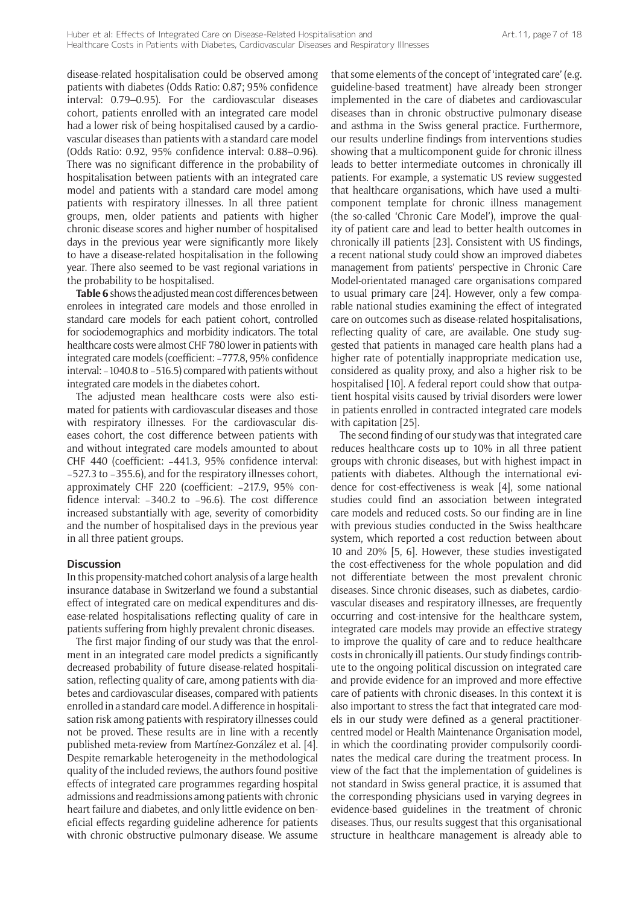disease-related hospitalisation could be observed among patients with diabetes (Odds Ratio: 0.87; 95% confidence interval: 0.79–0.95). For the cardiovascular diseases cohort, patients enrolled with an integrated care model had a lower risk of being hospitalised caused by a cardiovascular diseases than patients with a standard care model (Odds Ratio: 0.92, 95% confidence interval: 0.88–0.96). There was no significant difference in the probability of hospitalisation between patients with an integrated care model and patients with a standard care model among patients with respiratory illnesses. In all three patient groups, men, older patients and patients with higher chronic disease scores and higher number of hospitalised days in the previous year were significantly more likely to have a disease-related hospitalisation in the following year. There also seemed to be vast regional variations in the probability to be hospitalised.

**Table 6** shows the adjusted mean cost differences between enrolees in integrated care models and those enrolled in standard care models for each patient cohort, controlled for sociodemographics and morbidity indicators. The total healthcare costs were almost CHF 780 lower in patients with integrated care models (coefficient: −777.8, 95% confidence interval: −1040.8 to −516.5) compared with patients without integrated care models in the diabetes cohort.

The adjusted mean healthcare costs were also estimated for patients with cardiovascular diseases and those with respiratory illnesses. For the cardiovascular diseases cohort, the cost difference between patients with and without integrated care models amounted to about CHF 440 (coefficient: −441.3, 95% confidence interval: −527.3 to −355.6), and for the respiratory illnesses cohort, approximately CHF 220 (coefficient: −217.9, 95% confidence interval: −340.2 to −96.6). The cost difference increased substantially with age, severity of comorbidity and the number of hospitalised days in the previous year in all three patient groups.

### **Discussion**

In this propensity-matched cohort analysis of a large health insurance database in Switzerland we found a substantial effect of integrated care on medical expenditures and disease-related hospitalisations reflecting quality of care in patients suffering from highly prevalent chronic diseases.

The first major finding of our study was that the enrolment in an integrated care model predicts a significantly decreased probability of future disease-related hospitalisation, reflecting quality of care, among patients with diabetes and cardiovascular diseases, compared with patients enrolled in a standard care model. A difference in hospitalisation risk among patients with respiratory illnesses could not be proved. These results are in line with a recently published meta-review from Martínez-González et al. [4]. Despite remarkable heterogeneity in the methodological quality of the included reviews, the authors found positive effects of integrated care programmes regarding hospital admissions and readmissions among patients with chronic heart failure and diabetes, and only little evidence on beneficial effects regarding guideline adherence for patients with chronic obstructive pulmonary disease. We assume that some elements of the concept of 'integrated care' (e.g. guideline-based treatment) have already been stronger implemented in the care of diabetes and cardiovascular diseases than in chronic obstructive pulmonary disease and asthma in the Swiss general practice. Furthermore, our results underline findings from interventions studies showing that a multicomponent guide for chronic illness leads to better intermediate outcomes in chronically ill patients. For example, a systematic US review suggested that healthcare organisations, which have used a multicomponent template for chronic illness management (the so-called 'Chronic Care Model'), improve the quality of patient care and lead to better health outcomes in chronically ill patients [23]. Consistent with US findings, a recent national study could show an improved diabetes management from patients' perspective in Chronic Care Model-orientated managed care organisations compared to usual primary care [24]. However, only a few comparable national studies examining the effect of integrated care on outcomes such as disease-related hospitalisations, reflecting quality of care, are available. One study suggested that patients in managed care health plans had a higher rate of potentially inappropriate medication use, considered as quality proxy, and also a higher risk to be hospitalised [10]. A federal report could show that outpatient hospital visits caused by trivial disorders were lower in patients enrolled in contracted integrated care models with capitation [25].

The second finding of our study was that integrated care reduces healthcare costs up to 10% in all three patient groups with chronic diseases, but with highest impact in patients with diabetes. Although the international evidence for cost-effectiveness is weak [4], some national studies could find an association between integrated care models and reduced costs. So our finding are in line with previous studies conducted in the Swiss healthcare system, which reported a cost reduction between about 10 and 20% [5, 6]. However, these studies investigated the cost-effectiveness for the whole population and did not differentiate between the most prevalent chronic diseases. Since chronic diseases, such as diabetes, cardiovascular diseases and respiratory illnesses, are frequently occurring and cost-intensive for the healthcare system, integrated care models may provide an effective strategy to improve the quality of care and to reduce healthcare costs in chronically ill patients. Our study findings contribute to the ongoing political discussion on integrated care and provide evidence for an improved and more effective care of patients with chronic diseases. In this context it is also important to stress the fact that integrated care models in our study were defined as a general practitionercentred model or Health Maintenance Organisation model, in which the coordinating provider compulsorily coordinates the medical care during the treatment process. In view of the fact that the implementation of guidelines is not standard in Swiss general practice, it is assumed that the corresponding physicians used in varying degrees in evidence-based guidelines in the treatment of chronic diseases. Thus, our results suggest that this organisational structure in healthcare management is already able to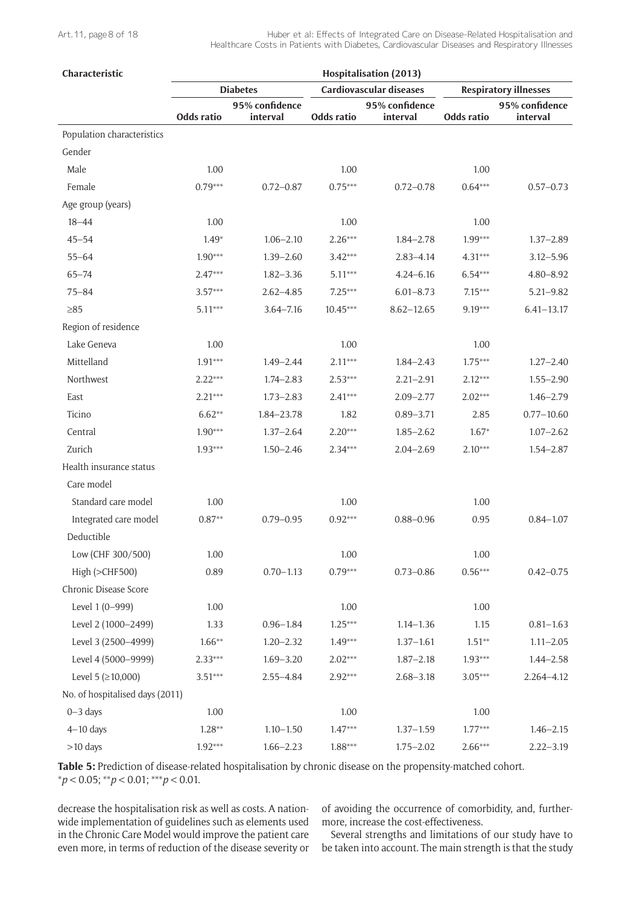| Characteristic                  |            |                            |            | Hospitalisation (2013)         |            |                              |
|---------------------------------|------------|----------------------------|------------|--------------------------------|------------|------------------------------|
|                                 |            | <b>Diabetes</b>            |            | <b>Cardiovascular diseases</b> |            | <b>Respiratory illnesses</b> |
|                                 | Odds ratio | 95% confidence<br>interval | Odds ratio | 95% confidence<br>interval     | Odds ratio | 95% confidence<br>interval   |
| Population characteristics      |            |                            |            |                                |            |                              |
| Gender                          |            |                            |            |                                |            |                              |
| Male                            | 1.00       |                            | 1.00       |                                | 1.00       |                              |
| Female                          | $0.79***$  | $0.72 - 0.87$              | $0.75***$  | $0.72 - 0.78$                  | $0.64***$  | $0.57 - 0.73$                |
| Age group (years)               |            |                            |            |                                |            |                              |
| $18 - 44$                       | 1.00       |                            | 1.00       |                                | 1.00       |                              |
| $45 - 54$                       | $1.49*$    | $1.06 - 2.10$              | $2.26***$  | $1.84 - 2.78$                  | $1.99***$  | $1.37 - 2.89$                |
| $55 - 64$                       | $1.90***$  | $1.39 - 2.60$              | $3.42***$  | $2.83 - 4.14$                  | $4.31***$  | $3.12 - 5.96$                |
| $65 - 74$                       | $2.47***$  | $1.82 - 3.36$              | $5.11***$  | $4.24 - 6.16$                  | $6.54***$  | $4.80 - 8.92$                |
| $75 - 84$                       | $3.57***$  | $2.62 - 4.85$              | $7.25***$  | $6.01 - 8.73$                  | $7.15***$  | $5.21 - 9.82$                |
| $\geq 85$                       | $5.11***$  | $3.64 - 7.16$              | $10.45***$ | $8.62 - 12.65$                 | 9.19***    | $6.41 - 13.17$               |
| Region of residence             |            |                            |            |                                |            |                              |
| Lake Geneva                     | 1.00       |                            | 1.00       |                                | 1.00       |                              |
| Mittelland                      | $1.91***$  | $1.49 - 2.44$              | $2.11***$  | $1.84 - 2.43$                  | $1.75***$  | $1.27 - 2.40$                |
| Northwest                       | $2.22***$  | $1.74 - 2.83$              | $2.53***$  | $2.21 - 2.91$                  | $2.12***$  | $1.55 - 2.90$                |
| East                            | $2.21***$  | $1.73 - 2.83$              | $2.41***$  | $2.09 - 2.77$                  | $2.02***$  | $1.46 - 2.79$                |
| Ticino                          | $6.62**$   | 1.84-23.78                 | 1.82       | $0.89 - 3.71$                  | 2.85       | $0.77 - 10.60$               |
| Central                         | $1.90***$  | $1.37 - 2.64$              | $2.20***$  | $1.85 - 2.62$                  | $1.67*$    | $1.07 - 2.62$                |
| Zurich                          | $1.93***$  | $1.50 - 2.46$              | $2.34***$  | $2.04 - 2.69$                  | $2.10***$  | $1.54 - 2.87$                |
| Health insurance status         |            |                            |            |                                |            |                              |
| Care model                      |            |                            |            |                                |            |                              |
| Standard care model             | 1.00       |                            | 1.00       |                                | 1.00       |                              |
| Integrated care model           | $0.87**$   | $0.79 - 0.95$              | $0.92***$  | $0.88 - 0.96$                  | 0.95       | $0.84 - 1.07$                |
| Deductible                      |            |                            |            |                                |            |                              |
| Low (CHF 300/500)               | 1.00       |                            | 1.00       |                                | 1.00       |                              |
| High (>CHF500)                  | 0.89       | $0.70 - 1.13$              | $0.79***$  | $0.73 - 0.86$                  | $0.56***$  | $0.42 - 0.75$                |
| Chronic Disease Score           |            |                            |            |                                |            |                              |
| Level 1 (0-999)                 | 1.00       |                            | 1.00       |                                | 1.00       |                              |
| Level 2 (1000-2499)             | 1.33       | $0.96 - 1.84$              | $1.25***$  | $1.14 - 1.36$                  | 1.15       | $0.81 - 1.63$                |
| Level 3 (2500-4999)             | $1.66**$   | $1.20 - 2.32$              | $1.49***$  | $1.37 - 1.61$                  | $1.51**$   | $1.11 - 2.05$                |
| Level 4 (5000-9999)             | $2.33***$  | $1.69 - 3.20$              | $2.02***$  | $1.87 - 2.18$                  | $1.93***$  | $1.44 - 2.58$                |
| Level 5 ( $\geq$ 10,000)        | $3.51***$  | $2.55 - 4.84$              | $2.92***$  | $2.68 - 3.18$                  | $3.05***$  | 2.264-4.12                   |
| No. of hospitalised days (2011) |            |                            |            |                                |            |                              |
| $0 - 3$ days                    | 1.00       |                            | 1.00       |                                | 1.00       |                              |
| $4-10$ days                     | $1.28**$   | $1.10 - 1.50$              | $1.47***$  | $1.37 - 1.59$                  | $1.77***$  | $1.46 - 2.15$                |
| >10 days                        | $1.92***$  | $1.66 - 2.23$              | $1.88***$  | $1.75 - 2.02$                  | $2.66***$  | $2.22 - 3.19$                |

**Table 5:** Prediction of disease-related hospitalisation by chronic disease on the propensity-matched cohort. \**p* < 0.05; \*\**p* < 0.01; \*\*\**p* < 0.01.

decrease the hospitalisation risk as well as costs. A nationwide implementation of guidelines such as elements used in the Chronic Care Model would improve the patient care even more, in terms of reduction of the disease severity or of avoiding the occurrence of comorbidity, and, furthermore, increase the cost-effectiveness.

Several strengths and limitations of our study have to be taken into account. The main strength is that the study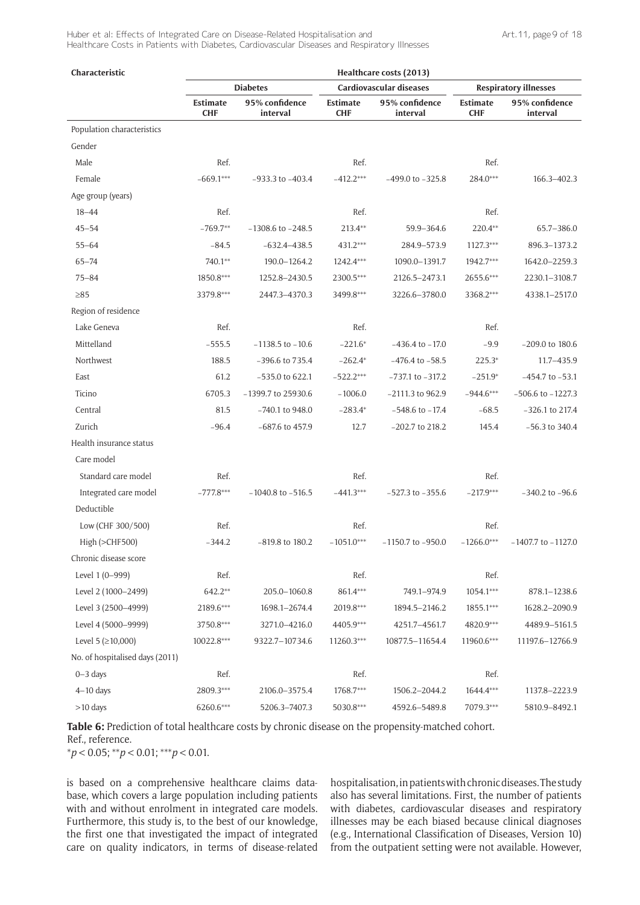| Characteristic                  |                        |                            |                        | Healthcare costs (2013)    |                        |                              |
|---------------------------------|------------------------|----------------------------|------------------------|----------------------------|------------------------|------------------------------|
|                                 |                        | <b>Diabetes</b>            |                        | Cardiovascular diseases    |                        | <b>Respiratory illnesses</b> |
|                                 | Estimate<br><b>CHF</b> | 95% confidence<br>interval | Estimate<br><b>CHF</b> | 95% confidence<br>interval | Estimate<br><b>CHF</b> | 95% confidence<br>interval   |
| Population characteristics      |                        |                            |                        |                            |                        |                              |
| Gender                          |                        |                            |                        |                            |                        |                              |
| Male                            | Ref.                   |                            | Ref.                   |                            | Ref.                   |                              |
| Female                          | $-669.1***$            | $-933.3$ to $-403.4$       | $-412.2***$            | $-499.0$ to $-325.8$       | $284.0***$             | 166.3-402.3                  |
| Age group (years)               |                        |                            |                        |                            |                        |                              |
| $18 - 44$                       | Ref.                   |                            | Ref.                   |                            | Ref.                   |                              |
| $45 - 54$                       | $-769.7**$             | $-1308.6$ to $-248.5$      | $213.4**$              | 59.9-364.6                 | 220.4**                | 65.7-386.0                   |
| $55 - 64$                       | $-84.5$                | $-632.4 - 438.5$           | $431.2***$             | 284.9-573.9                | $1127.3***$            | 896.3-1373.2                 |
| $65 - 74$                       | 740.1**                | 190.0-1264.2               | $1242.4***$            | 1090.0-1391.7              | 1942.7***              | 1642.0-2259.3                |
| $75 - 84$                       | 1850.8***              | 1252.8-2430.5              | 2300.5***              | 2126.5-2473.1              | 2655.6***              | 2230.1-3108.7                |
| $\geq 85$                       | 3379.8***              | 2447.3-4370.3              | 3499.8***              | 3226.6-3780.0              | 3368.2***              | 4338.1-2517.0                |
| Region of residence             |                        |                            |                        |                            |                        |                              |
| Lake Geneva                     | Ref.                   |                            | Ref.                   |                            | Ref.                   |                              |
| Mittelland                      | $-555.5$               | $-1138.5$ to $-10.6$       | $-221.6*$              | $-436.4$ to $-17.0$        | $-9.9$                 | $-209.0$ to 180.6            |
| Northwest                       | 188.5                  | $-396.6$ to $735.4$        | $-262.4*$              | $-476.4$ to $-58.5$        | $225.3*$               | 11.7-435.9                   |
| East                            | 61.2                   | $-535.0$ to 622.1          | $-522.2***$            | $-737.1$ to $-317.2$       | $-251.9*$              | $-454.7$ to $-53.1$          |
| Ticino                          | 6705.3                 | -1399.7 to 25930.6         | $-1006.0$              | $-2111.3$ to 962.9         | $-944.6***$            | $-506.6$ to $-1227.3$        |
| Central                         | 81.5                   | $-740.1$ to 948.0          | $-283.4*$              | $-548.6$ to $-17.4$        | $-68.5$                | $-326.1$ to 217.4            |
| Zurich                          | $-96.4$                | $-687.6$ to 457.9          | 12.7                   | $-202.7$ to 218.2          | 145.4                  | $-56.3$ to 340.4             |
| Health insurance status         |                        |                            |                        |                            |                        |                              |
| Care model                      |                        |                            |                        |                            |                        |                              |
| Standard care model             | Ref.                   |                            | Ref.                   |                            | Ref.                   |                              |
| Integrated care model           | $-777.8***$            | $-1040.8$ to $-516.5$      | $-441.3***$            | $-527.3$ to $-355.6$       | $-217.9***$            | $-340.2$ to $-96.6$          |
| Deductible                      |                        |                            |                        |                            |                        |                              |
| Low (CHF 300/500)               | Ref.                   |                            | Ref.                   |                            | Ref.                   |                              |
| High (>CHF500)                  | $-344.2$               | -819.8 to 180.2            | $-1051.0***$           | $-1150.7$ to $-950.0$      | $-1266.0***$           | $-1407.7$ to $-1127.0$       |
| Chronic disease score           |                        |                            |                        |                            |                        |                              |
| Level 1 (0-999)                 | Ref.                   |                            | Ref.                   |                            | Ref.                   |                              |
| Level 2 (1000-2499)             | 642.2**                | 205.0-1060.8               | 861.4***               | 749.1-974.9                | $1054.1***$            | 878.1-1238.6                 |
| Level 3 (2500-4999)             | 2189.6***              | 1698.1-2674.4              | 2019.8***              | 1894.5-2146.2              | 1855.1***              | 1628.2-2090.9                |
| Level 4 (5000-9999)             | 3750.8***              | 3271.0-4216.0              | 4405.9***              | 4251.7-4561.7              | 4820.9***              | 4489.9-5161.5                |
| Level 5 ( $\geq$ 10,000)        | 10022.8***             | 9322.7-10734.6             | 11260.3***             | 10877.5-11654.4            | 11960.6***             | 11197.6-12766.9              |
| No. of hospitalised days (2011) |                        |                            |                        |                            |                        |                              |
| $0 - 3$ days                    | Ref.                   |                            | Ref.                   |                            | Ref.                   |                              |
| $4-10$ days                     | 2809.3***              | 2106.0-3575.4              | 1768.7***              | 1506.2-2044.2              | $1644.4***$            | 1137.8-2223.9                |
| >10 days                        | 6260.6***              | 5206.3-7407.3              | 5030.8***              | 4592.6-5489.8              | 7079.3***              | 5810.9-8492.1                |

**Table 6:** Prediction of total healthcare costs by chronic disease on the propensity-matched cohort.

Ref., reference.

\**p* < 0.05; \*\**p* < 0.01; \*\*\**p* < 0.01.

is based on a comprehensive healthcare claims database, which covers a large population including patients with and without enrolment in integrated care models. Furthermore, this study is, to the best of our knowledge, the first one that investigated the impact of integrated care on quality indicators, in terms of disease-related

hospitalisation, in patients with chronic diseases. The study also has several limitations. First, the number of patients with diabetes, cardiovascular diseases and respiratory illnesses may be each biased because clinical diagnoses (e.g., International Classification of Diseases, Version 10) from the outpatient setting were not available. However,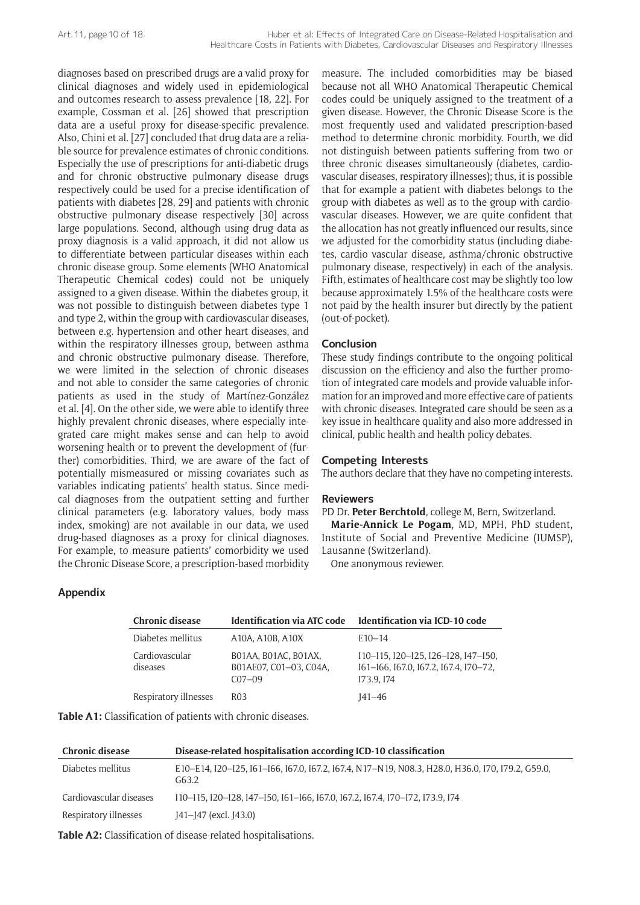diagnoses based on prescribed drugs are a valid proxy for clinical diagnoses and widely used in epidemiological and outcomes research to assess prevalence [18, 22]. For example, Cossman et al. [26] showed that prescription data are a useful proxy for disease-specific prevalence. Also, Chini et al. [27] concluded that drug data are a reliable source for prevalence estimates of chronic conditions. Especially the use of prescriptions for anti-diabetic drugs and for chronic obstructive pulmonary disease drugs respectively could be used for a precise identification of patients with diabetes [28, 29] and patients with chronic obstructive pulmonary disease respectively [30] across large populations. Second, although using drug data as proxy diagnosis is a valid approach, it did not allow us to differentiate between particular diseases within each chronic disease group. Some elements (WHO Anatomical Therapeutic Chemical codes) could not be uniquely assigned to a given disease. Within the diabetes group, it was not possible to distinguish between diabetes type 1 and type 2, within the group with cardiovascular diseases, between e.g. hypertension and other heart diseases, and within the respiratory illnesses group, between asthma and chronic obstructive pulmonary disease. Therefore, we were limited in the selection of chronic diseases and not able to consider the same categories of chronic patients as used in the study of Martínez-González et al. [4]. On the other side, we were able to identify three highly prevalent chronic diseases, where especially integrated care might makes sense and can help to avoid worsening health or to prevent the development of (further) comorbidities. Third, we are aware of the fact of potentially mismeasured or missing covariates such as variables indicating patients' health status. Since medical diagnoses from the outpatient setting and further clinical parameters (e.g. laboratory values, body mass index, smoking) are not available in our data, we used drug-based diagnoses as a proxy for clinical diagnoses. For example, to measure patients' comorbidity we used the Chronic Disease Score, a prescription-based morbidity

# **Appendix**

| <b>Chronic disease</b>     | <b>Identification via ATC code</b>                            | Identification via ICD-10 code                                                            |
|----------------------------|---------------------------------------------------------------|-------------------------------------------------------------------------------------------|
| Diabetes mellitus          | A10A, A10B, A10X                                              | $E10-14$                                                                                  |
| Cardiovascular<br>diseases | B01AA, B01AC, B01AX,<br>B01AE07, C01-03, C04A,<br>$C_{07-09}$ | I10-I15, I20-I25, I26-I28, I47-I50,<br>161-166, 167.0, 167.2, 167.4, 170-72,<br>I73.9.174 |
| Respiratory illnesses      | R03                                                           | $I41 - 46$                                                                                |

**Table A1:** Classification of patients with chronic diseases.

| <b>Chronic disease</b>  | Disease-related hospitalisation according ICD-10 classification                                           |
|-------------------------|-----------------------------------------------------------------------------------------------------------|
| Diabetes mellitus       | E10–E14, I20–I25, I61–I66, I67.0, I67.2, I67.4, N17–N19, N08.3, H28.0, H36.0, I70, I79.2, G59.0,<br>G63.2 |
| Cardiovascular diseases | I10-I15, I20-I28, I47-I50, I61-I66, I67.0, I67.2, I67.4, I70-I72, I73.9, I74                              |
| Respiratory illnesses   | J41-J47 (excl. J43.0)                                                                                     |

**Table A2:** Classification of disease-related hospitalisations.

measure. The included comorbidities may be biased because not all WHO Anatomical Therapeutic Chemical codes could be uniquely assigned to the treatment of a given disease. However, the Chronic Disease Score is the most frequently used and validated prescription-based method to determine chronic morbidity. Fourth, we did not distinguish between patients suffering from two or three chronic diseases simultaneously (diabetes, cardiovascular diseases, respiratory illnesses); thus, it is possible that for example a patient with diabetes belongs to the group with diabetes as well as to the group with cardiovascular diseases. However, we are quite confident that the allocation has not greatly influenced our results, since we adjusted for the comorbidity status (including diabetes, cardio vascular disease, asthma/chronic obstructive pulmonary disease, respectively) in each of the analysis. Fifth, estimates of healthcare cost may be slightly too low because approximately 1.5% of the healthcare costs were not paid by the health insurer but directly by the patient (out-of-pocket).

## **Conclusion**

These study findings contribute to the ongoing political discussion on the efficiency and also the further promotion of integrated care models and provide valuable information for an improved and more effective care of patients with chronic diseases. Integrated care should be seen as a key issue in healthcare quality and also more addressed in clinical, public health and health policy debates.

### **Competing Interests**

The authors declare that they have no competing interests.

# **Reviewers**

PD Dr. **Peter Berchtold**, college M, Bern, Switzerland.

**Marie-Annick Le Pogam**, MD, MPH, PhD student, Institute of Social and Preventive Medicine (IUMSP), Lausanne (Switzerland).

One anonymous reviewer.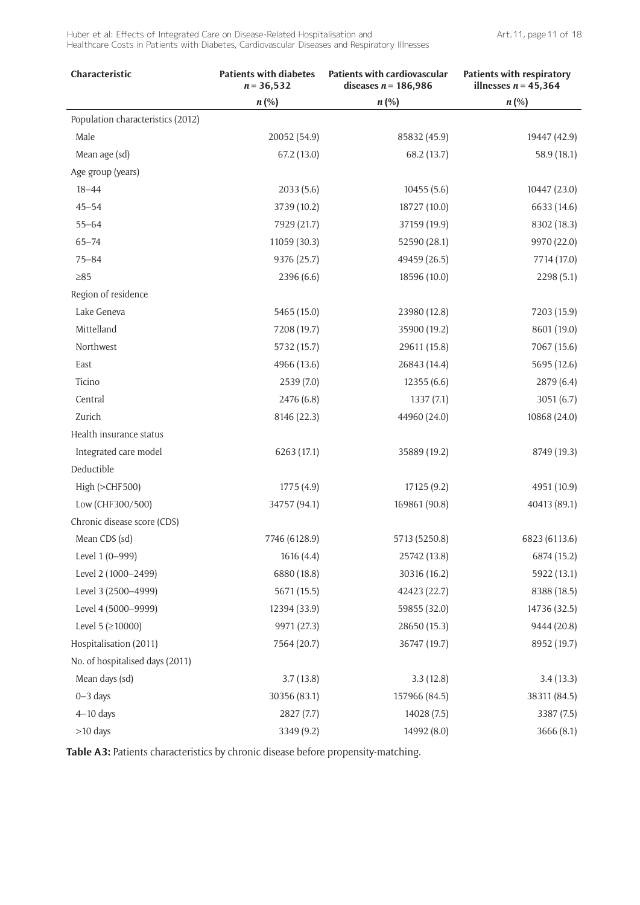| Characteristic                    | <b>Patients with diabetes</b><br>$n = 36,532$ | <b>Patients with cardiovascular</b><br>diseases $n = 186,986$ | <b>Patients with respiratory</b><br>illnesses $n = 45,364$ |
|-----------------------------------|-----------------------------------------------|---------------------------------------------------------------|------------------------------------------------------------|
|                                   | $n (\%)$                                      | $n (\%)$                                                      | $n\left(\% \right)$                                        |
| Population characteristics (2012) |                                               |                                                               |                                                            |
| Male                              | 20052 (54.9)                                  | 85832 (45.9)                                                  | 19447 (42.9)                                               |
| Mean age (sd)                     | 67.2(13.0)                                    | 68.2 (13.7)                                                   | 58.9 (18.1)                                                |
| Age group (years)                 |                                               |                                                               |                                                            |
| $18 - 44$                         | 2033(5.6)                                     | 10455(5.6)                                                    | 10447 (23.0)                                               |
| $45 - 54$                         | 3739 (10.2)                                   | 18727 (10.0)                                                  | 6633 (14.6)                                                |
| $55 - 64$                         | 7929 (21.7)                                   | 37159 (19.9)                                                  | 8302 (18.3)                                                |
| $65 - 74$                         | 11059 (30.3)                                  | 52590 (28.1)                                                  | 9970 (22.0)                                                |
| $75 - 84$                         | 9376 (25.7)                                   | 49459 (26.5)                                                  | 7714 (17.0)                                                |
| $\geq 85$                         | 2396 (6.6)                                    | 18596 (10.0)                                                  | 2298 (5.1)                                                 |
| Region of residence               |                                               |                                                               |                                                            |
| Lake Geneva                       | 5465 (15.0)                                   | 23980 (12.8)                                                  | 7203 (15.9)                                                |
| Mittelland                        | 7208 (19.7)                                   | 35900 (19.2)                                                  | 8601 (19.0)                                                |
| Northwest                         | 5732 (15.7)                                   | 29611 (15.8)                                                  | 7067 (15.6)                                                |
| East                              | 4966 (13.6)                                   | 26843 (14.4)                                                  | 5695 (12.6)                                                |
| Ticino                            | 2539 (7.0)                                    | 12355(6.6)                                                    | 2879 (6.4)                                                 |
| Central                           | 2476 (6.8)                                    | 1337(7.1)                                                     | 3051(6.7)                                                  |
| Zurich                            | 8146 (22.3)                                   | 44960 (24.0)                                                  | 10868 (24.0)                                               |
| Health insurance status           |                                               |                                                               |                                                            |
| Integrated care model             | 6263 (17.1)                                   | 35889 (19.2)                                                  | 8749 (19.3)                                                |
| Deductible                        |                                               |                                                               |                                                            |
| High (>CHF500)                    | 1775 (4.9)                                    | 17125 (9.2)                                                   | 4951 (10.9)                                                |
| Low (CHF300/500)                  | 34757 (94.1)                                  | 169861 (90.8)                                                 | 40413 (89.1)                                               |
| Chronic disease score (CDS)       |                                               |                                                               |                                                            |
| Mean CDS (sd)                     | 7746 (6128.9)                                 | 5713 (5250.8)                                                 | 6823 (6113.6)                                              |
| Level 1 (0-999)                   | 1616 (4.4)                                    | 25742 (13.8)                                                  | 6874 (15.2)                                                |
| Level 2 (1000-2499)               | 6880 (18.8)                                   | 30316 (16.2)                                                  | 5922 (13.1)                                                |
| Level 3 (2500-4999)               | 5671 (15.5)                                   | 42423 (22.7)                                                  | 8388 (18.5)                                                |
| Level 4 (5000-9999)               | 12394 (33.9)                                  | 59855 (32.0)                                                  | 14736 (32.5)                                               |
| Level 5 ( $\geq$ 10000)           | 9971 (27.3)                                   | 28650 (15.3)                                                  | 9444 (20.8)                                                |
| Hospitalisation (2011)            | 7564 (20.7)                                   | 36747 (19.7)                                                  | 8952 (19.7)                                                |
| No. of hospitalised days (2011)   |                                               |                                                               |                                                            |
| Mean days (sd)                    | 3.7(13.8)                                     | 3.3(12.8)                                                     | 3.4(13.3)                                                  |
| $0 - 3$ days                      | 30356 (83.1)                                  | 157966 (84.5)                                                 | 38311 (84.5)                                               |
| $4-10$ days                       | 2827(7.7)                                     | 14028 (7.5)                                                   | 3387 (7.5)                                                 |
| >10 days                          | 3349 (9.2)                                    | 14992 (8.0)                                                   | 3666(8.1)                                                  |

**Table A3:** Patients characteristics by chronic disease before propensity-matching.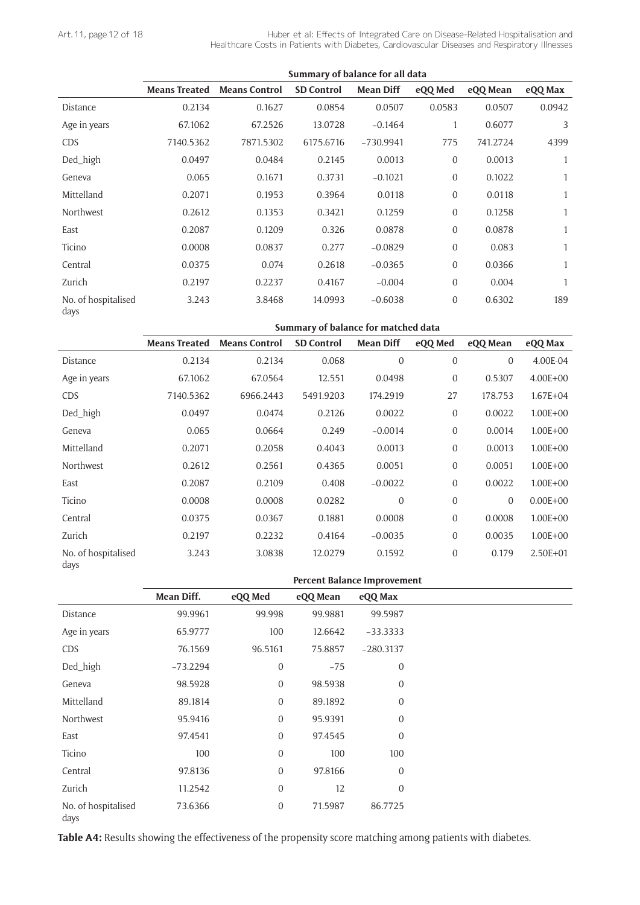l,

|                             |                      |                      | Summary of balance for all data |                  |                |          |         |
|-----------------------------|----------------------|----------------------|---------------------------------|------------------|----------------|----------|---------|
|                             | <b>Means Treated</b> | <b>Means Control</b> | <b>SD Control</b>               | <b>Mean Diff</b> | eQQ Med        | eQQ Mean | eQQ Max |
| Distance                    | 0.2134               | 0.1627               | 0.0854                          | 0.0507           | 0.0583         | 0.0507   | 0.0942  |
| Age in years                | 67.1062              | 67.2526              | 13.0728                         | $-0.1464$        |                | 0.6077   | 3       |
| <b>CDS</b>                  | 7140.5362            | 7871.5302            | 6175.6716                       | $-730.9941$      | 775            | 741.2724 | 4399    |
| Ded_high                    | 0.0497               | 0.0484               | 0.2145                          | 0.0013           | $\overline{0}$ | 0.0013   | 1       |
| Geneva                      | 0.065                | 0.1671               | 0.3731                          | $-0.1021$        | $\overline{0}$ | 0.1022   | 1       |
| Mittelland                  | 0.2071               | 0.1953               | 0.3964                          | 0.0118           | $\overline{0}$ | 0.0118   | 1       |
| Northwest                   | 0.2612               | 0.1353               | 0.3421                          | 0.1259           | $\overline{0}$ | 0.1258   | 1       |
| East                        | 0.2087               | 0.1209               | 0.326                           | 0.0878           | $\overline{0}$ | 0.0878   | 1       |
| Ticino                      | 0.0008               | 0.0837               | 0.277                           | $-0.0829$        | $\overline{0}$ | 0.083    | 1       |
| Central                     | 0.0375               | 0.074                | 0.2618                          | $-0.0365$        | $\overline{0}$ | 0.0366   | 1       |
| Zurich                      | 0.2197               | 0.2237               | 0.4167                          | $-0.004$         | $\overline{0}$ | 0.004    | 1       |
| No. of hospitalised<br>days | 3.243                | 3.8468               | 14.0993                         | $-0.6038$        | $\overline{0}$ | 0.6302   | 189     |

|                             |                      |                      | Summary of balance for matched data |                  |                  |                |              |
|-----------------------------|----------------------|----------------------|-------------------------------------|------------------|------------------|----------------|--------------|
|                             | <b>Means Treated</b> | <b>Means Control</b> | <b>SD Control</b>                   | <b>Mean Diff</b> | eQQ Med          | eQQ Mean       | eQQ Max      |
| Distance                    | 0.2134               | 0.2134               | 0.068                               | $\overline{0}$   | $\overline{0}$   | $\Omega$       | 4.00E-04     |
| Age in years                | 67.1062              | 67.0564              | 12.551                              | 0.0498           | $\overline{0}$   | 0.5307         | $4.00E + 00$ |
| <b>CDS</b>                  | 7140.5362            | 6966.2443            | 5491.9203                           | 174.2919         | 27               | 178.753        | $1.67E + 04$ |
| Ded_high                    | 0.0497               | 0.0474               | 0.2126                              | 0.0022           | $\boldsymbol{0}$ | 0.0022         | $1.00E + 00$ |
| Geneva                      | 0.065                | 0.0664               | 0.249                               | $-0.0014$        | $\overline{0}$   | 0.0014         | $1.00E + 00$ |
| Mittelland                  | 0.2071               | 0.2058               | 0.4043                              | 0.0013           | $\overline{0}$   | 0.0013         | $1.00E + 00$ |
| <b>Northwest</b>            | 0.2612               | 0.2561               | 0.4365                              | 0.0051           | $\overline{0}$   | 0.0051         | $1.00E + 00$ |
| East                        | 0.2087               | 0.2109               | 0.408                               | $-0.0022$        | $\overline{0}$   | 0.0022         | $1.00E + 00$ |
| Ticino                      | 0.0008               | 0.0008               | 0.0282                              | $\overline{0}$   | $\overline{0}$   | $\overline{0}$ | $0.00E + 00$ |
| Central                     | 0.0375               | 0.0367               | 0.1881                              | 0.0008           | $\overline{0}$   | 0.0008         | $1.00E + 00$ |
| Zurich                      | 0.2197               | 0.2232               | 0.4164                              | $-0.0035$        | $\overline{0}$   | 0.0035         | $1.00E + 00$ |
| No. of hospitalised<br>days | 3.243                | 3.0838               | 12.0279                             | 0.1592           | $\boldsymbol{0}$ | 0.179          | $2.50E + 01$ |

|                             |            |                  | <b>Percent Balance Improvement</b> |                  |
|-----------------------------|------------|------------------|------------------------------------|------------------|
|                             | Mean Diff. | eQQ Med          | eQQ Mean                           | eQQ Max          |
| Distance                    | 99.9961    | 99.998           | 99.9881                            | 99.5987          |
| Age in years                | 65.9777    | 100              | 12.6642                            | $-33.3333$       |
| <b>CDS</b>                  | 76.1569    | 96.5161          | 75.8857                            | $-280.3137$      |
| Ded_high                    | $-73.2294$ | $\boldsymbol{0}$ | $-75$                              | $\overline{0}$   |
| Geneva                      | 98.5928    | $\overline{0}$   | 98.5938                            | $\boldsymbol{0}$ |
| Mittelland                  | 89.1814    | $\overline{0}$   | 89.1892                            | $\overline{0}$   |
| Northwest                   | 95.9416    | $\boldsymbol{0}$ | 95.9391                            | $\overline{0}$   |
| East                        | 97.4541    | $\overline{0}$   | 97.4545                            | $\overline{0}$   |
| Ticino                      | 100        | $\mathbf{0}$     | 100                                | 100              |
| Central                     | 97.8136    | $\boldsymbol{0}$ | 97.8166                            | $\mathbf{0}$     |
| Zurich                      | 11.2542    | $\overline{0}$   | 12                                 | $\overline{0}$   |
| No. of hospitalised<br>days | 73.6366    | $\mathbf{0}$     | 71.5987                            | 86.7725          |

**Table A4:** Results showing the effectiveness of the propensity score matching among patients with diabetes.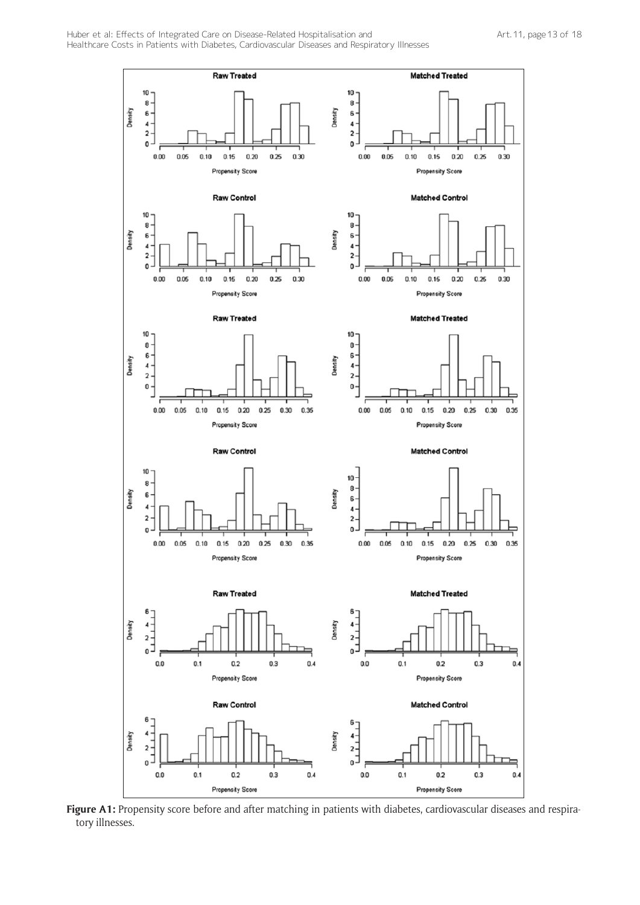

Figure A1: Propensity score before and after matching in patients with diabetes, cardiovascular diseases and respiratory illnesses.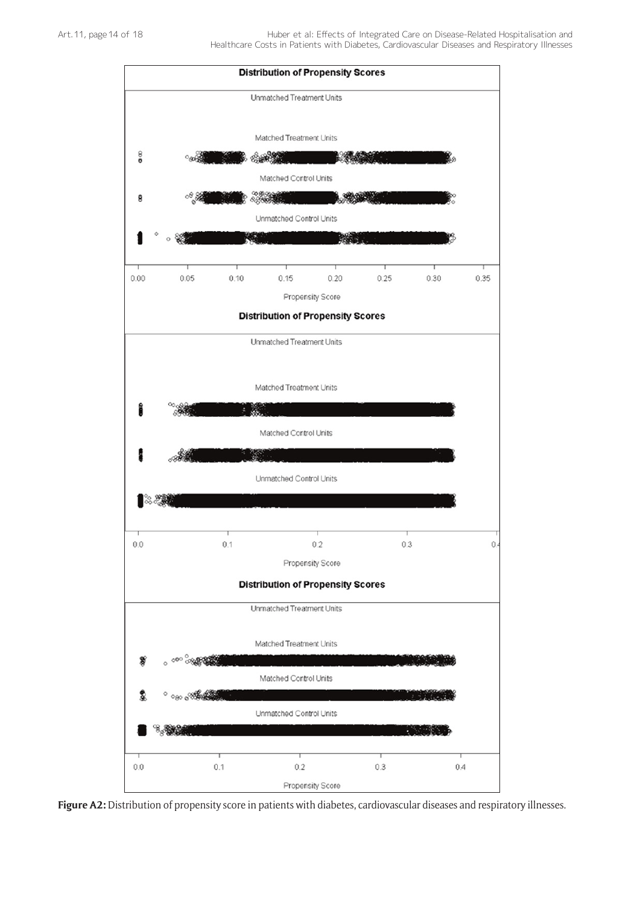

**Figure A2:** Distribution of propensity score in patients with diabetes, cardiovascular diseases and respiratory illnesses.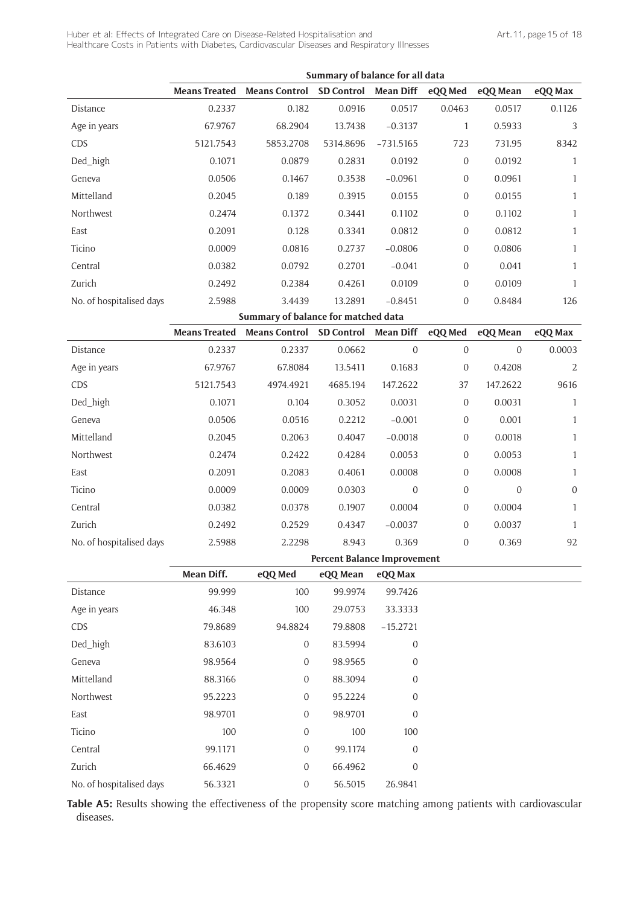|                          |                      |                                     | Summary of balance for all data    |                  |                  |              |                |
|--------------------------|----------------------|-------------------------------------|------------------------------------|------------------|------------------|--------------|----------------|
|                          | <b>Means Treated</b> | <b>Means Control</b>                | <b>SD Control</b>                  | <b>Mean Diff</b> | eQQ Med          | eQQ Mean     | eQQ Max        |
| Distance                 | 0.2337               | 0.182                               | 0.0916                             | 0.0517           | 0.0463           | 0.0517       | 0.1126         |
| Age in years             | 67.9767              | 68.2904                             | 13.7438                            | $-0.3137$        | $\mathbf{1}$     | 0.5933       | 3              |
| CDS                      | 5121.7543            | 5853.2708                           | 5314.8696                          | $-731.5165$      | 723              | 731.95       | 8342           |
| Ded_high                 | 0.1071               | 0.0879                              | 0.2831                             | 0.0192           | $\mathbf{0}$     | 0.0192       | $\mathbf{1}$   |
| Geneva                   | 0.0506               | 0.1467                              | 0.3538                             | $-0.0961$        | $\boldsymbol{0}$ | 0.0961       | $\mathbf{1}$   |
| Mittelland               | 0.2045               | 0.189                               | 0.3915                             | 0.0155           | $\boldsymbol{0}$ | 0.0155       | $\mathbf{1}$   |
| Northwest                | 0.2474               | 0.1372                              | 0.3441                             | 0.1102           | $\boldsymbol{0}$ | 0.1102       | $\mathbf{1}$   |
| East                     | 0.2091               | 0.128                               | 0.3341                             | 0.0812           | $\boldsymbol{0}$ | 0.0812       | $\mathbf{1}$   |
| Ticino                   | 0.0009               | 0.0816                              | 0.2737                             | $-0.0806$        | $\mathbf{0}$     | 0.0806       | $\mathbf{1}$   |
| Central                  | 0.0382               | 0.0792                              | 0.2701                             | $-0.041$         | $\boldsymbol{0}$ | 0.041        | $\mathbf{1}$   |
| Zurich                   | 0.2492               | 0.2384                              | 0.4261                             | 0.0109           | $\boldsymbol{0}$ | 0.0109       | 1              |
| No. of hospitalised days | 2.5988               | 3.4439                              | 13.2891                            | $-0.8451$        | $\boldsymbol{0}$ | 0.8484       | 126            |
|                          |                      | Summary of balance for matched data |                                    |                  |                  |              |                |
|                          | <b>Means Treated</b> | <b>Means Control</b>                | <b>SD Control</b>                  | <b>Mean Diff</b> | eQQ Med          | eQQ Mean     | eQQ Max        |
| Distance                 | 0.2337               | 0.2337                              | 0.0662                             | $\mathbf 0$      | $\boldsymbol{0}$ | $\mathbf{0}$ | 0.0003         |
| Age in years             | 67.9767              | 67.8084                             | 13.5411                            | 0.1683           | $\mathbf{0}$     | 0.4208       | $\overline{2}$ |
| CDS                      | 5121.7543            | 4974.4921                           | 4685.194                           | 147.2622         | 37               | 147.2622     | 9616           |
| Ded_high                 | 0.1071               | 0.104                               | 0.3052                             | 0.0031           | $\boldsymbol{0}$ | 0.0031       | $\mathbf{1}$   |
| Geneva                   | 0.0506               | 0.0516                              | 0.2212                             | $-0.001$         | $\boldsymbol{0}$ | 0.001        | $\mathbf{1}$   |
| Mittelland               | 0.2045               | 0.2063                              | 0.4047                             | $-0.0018$        | $\boldsymbol{0}$ | 0.0018       | $\mathbf{1}$   |
| Northwest                | 0.2474               | 0.2422                              | 0.4284                             | 0.0053           | $\mathbf{0}$     | 0.0053       | $\mathbf{1}$   |
| East                     | 0.2091               | 0.2083                              | 0.4061                             | 0.0008           | $\boldsymbol{0}$ | 0.0008       | $\mathbf{1}$   |
| Ticino                   | 0.0009               | 0.0009                              | 0.0303                             | $\overline{0}$   | $\boldsymbol{0}$ | $\mathbf{0}$ | $\overline{0}$ |
| Central                  | 0.0382               | 0.0378                              | 0.1907                             | 0.0004           | $\boldsymbol{0}$ | 0.0004       | $\mathbf{1}$   |
| Zurich                   | 0.2492               | 0.2529                              | 0.4347                             | $-0.0037$        | $\boldsymbol{0}$ | 0.0037       | 1              |
| No. of hospitalised days | 2.5988               | 2.2298                              | 8.943                              | 0.369            | $\boldsymbol{0}$ | 0.369        | 92             |
|                          |                      |                                     | <b>Percent Balance Improvement</b> |                  |                  |              |                |

|                          | Mean Diff. | eQQ Med          | eQQ Mean | eQQ Max          |
|--------------------------|------------|------------------|----------|------------------|
| Distance                 | 99.999     | 100              | 99.9974  | 99.7426          |
| Age in years             | 46.348     | 100              | 29.0753  | 33.3333          |
| <b>CDS</b>               | 79.8689    | 94.8824          | 79.8808  | $-15.2721$       |
| Ded_high                 | 83.6103    | $\mathbf{0}$     | 83.5994  | 0                |
| Geneva                   | 98.9564    | $\boldsymbol{0}$ | 98.9565  | 0                |
| Mittelland               | 88.3166    | $\mathbf{0}$     | 88.3094  | 0                |
| Northwest                | 95.2223    | $\overline{0}$   | 95.2224  | $\boldsymbol{0}$ |
| East                     | 98.9701    | $\overline{0}$   | 98.9701  | 0                |
| Ticino                   | 100        | $\boldsymbol{0}$ | 100      | 100              |
| Central                  | 99.1171    | $\overline{0}$   | 99.1174  | $\mathbf 0$      |
| Zurich                   | 66.4629    | $\mathbf{0}$     | 66.4962  | 0                |
| No. of hospitalised days | 56.3321    | $\overline{0}$   | 56.5015  | 26.9841          |

**Table A5:** Results showing the effectiveness of the propensity score matching among patients with cardiovascular diseases.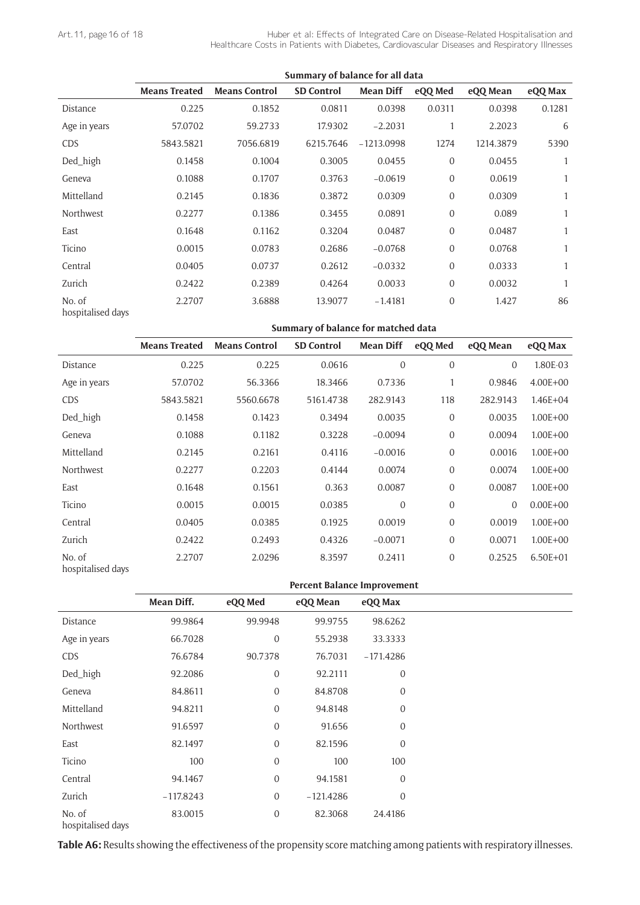|                             |                      |                      | Summary of balance for all data |                  |                  |           |         |
|-----------------------------|----------------------|----------------------|---------------------------------|------------------|------------------|-----------|---------|
|                             | <b>Means Treated</b> | <b>Means Control</b> | <b>SD Control</b>               | <b>Mean Diff</b> | eQQ Med          | eQQ Mean  | eQQ Max |
| Distance                    | 0.225                | 0.1852               | 0.0811                          | 0.0398           | 0.0311           | 0.0398    | 0.1281  |
| Age in years                | 57.0702              | 59.2733              | 17.9302                         | $-2.2031$        | 1                | 2.2023    | 6       |
| <b>CDS</b>                  | 5843.5821            | 7056.6819            | 6215.7646                       | $-1213.0998$     | 1274             | 1214.3879 | 5390    |
| Ded_high                    | 0.1458               | 0.1004               | 0.3005                          | 0.0455           | $\boldsymbol{0}$ | 0.0455    | 1       |
| Geneva                      | 0.1088               | 0.1707               | 0.3763                          | $-0.0619$        | $\overline{0}$   | 0.0619    | 1       |
| Mittelland                  | 0.2145               | 0.1836               | 0.3872                          | 0.0309           | $\mathbf{0}$     | 0.0309    | 1       |
| Northwest                   | 0.2277               | 0.1386               | 0.3455                          | 0.0891           | $\mathbf{0}$     | 0.089     | 1       |
| East                        | 0.1648               | 0.1162               | 0.3204                          | 0.0487           | $\mathbf{0}$     | 0.0487    | 1       |
| Ticino                      | 0.0015               | 0.0783               | 0.2686                          | $-0.0768$        | $\mathbf{0}$     | 0.0768    | 1       |
| Central                     | 0.0405               | 0.0737               | 0.2612                          | $-0.0332$        | $\mathbf{0}$     | 0.0333    | 1       |
| Zurich                      | 0.2422               | 0.2389               | 0.4264                          | 0.0033           | $\mathbf{0}$     | 0.0032    |         |
| No. of<br>hospitalised days | 2.2707               | 3.6888               | 13.9077                         | $-1.4181$        | $\overline{0}$   | 1.427     | 86      |

**Summary of balance for matched data**

|                             | <b>Means Treated</b> | <b>Means Control</b> | <b>SD Control</b> | <b>Mean Diff</b> | eQQ Med          | eQQ Mean       | eQQ Max      |
|-----------------------------|----------------------|----------------------|-------------------|------------------|------------------|----------------|--------------|
| Distance                    | 0.225                | 0.225                | 0.0616            | $\mathbf 0$      | $\boldsymbol{0}$ | $\overline{0}$ | 1.80E-03     |
| Age in years                | 57.0702              | 56.3366              | 18.3466           | 0.7336           | 1                | 0.9846         | $4.00E + 00$ |
| <b>CDS</b>                  | 5843.5821            | 5560.6678            | 5161.4738         | 282.9143         | 118              | 282.9143       | $1.46E + 04$ |
| Ded_high                    | 0.1458               | 0.1423               | 0.3494            | 0.0035           | $\boldsymbol{0}$ | 0.0035         | $1.00E + 00$ |
| Geneva                      | 0.1088               | 0.1182               | 0.3228            | $-0.0094$        | $\mathbf 0$      | 0.0094         | $1.00E + 00$ |
| Mittelland                  | 0.2145               | 0.2161               | 0.4116            | $-0.0016$        | $\boldsymbol{0}$ | 0.0016         | $1.00E + 00$ |
| Northwest                   | 0.2277               | 0.2203               | 0.4144            | 0.0074           | $\boldsymbol{0}$ | 0.0074         | $1.00E + 00$ |
| East                        | 0.1648               | 0.1561               | 0.363             | 0.0087           | $\mathbf 0$      | 0.0087         | $1.00E + 00$ |
| Ticino                      | 0.0015               | 0.0015               | 0.0385            | $\overline{0}$   | $\boldsymbol{0}$ | 0              | $0.00E + 00$ |
| Central                     | 0.0405               | 0.0385               | 0.1925            | 0.0019           | $\boldsymbol{0}$ | 0.0019         | $1.00E + 00$ |
| Zurich                      | 0.2422               | 0.2493               | 0.4326            | $-0.0071$        | $\boldsymbol{0}$ | 0.0071         | $1.00E + 00$ |
| No. of<br>hospitalised days | 2.2707               | 2.0296               | 8.3597            | 0.2411           | $\mathbf 0$      | 0.2525         | $6.50E + 01$ |

**Percent Balance Improvement**

|                             | Mean Diff.  | eQQ Med          | eQQ Mean    | eQQ Max          |
|-----------------------------|-------------|------------------|-------------|------------------|
| Distance                    | 99.9864     | 99.9948          | 99.9755     | 98.6262          |
| Age in years                | 66.7028     | $\boldsymbol{0}$ | 55.2938     | 33.3333          |
| <b>CDS</b>                  | 76.6784     | 90.7378          | 76.7031     | $-171.4286$      |
| Ded_high                    | 92.2086     | $\boldsymbol{0}$ | 92.2111     | $\boldsymbol{0}$ |
| Geneva                      | 84.8611     | $\boldsymbol{0}$ | 84.8708     | $\overline{0}$   |
| Mittelland                  | 94.8211     | $\boldsymbol{0}$ | 94.8148     | $\mathbf 0$      |
| Northwest                   | 91.6597     | $\boldsymbol{0}$ | 91.656      | $\mathbf 0$      |
| East                        | 82.1497     | $\boldsymbol{0}$ | 82.1596     | $\boldsymbol{0}$ |
| Ticino                      | 100         | $\boldsymbol{0}$ | 100         | 100              |
| Central                     | 94.1467     | $\overline{0}$   | 94.1581     | $\overline{0}$   |
| Zurich                      | $-117.8243$ | $\mathbf{0}$     | $-121.4286$ | $\boldsymbol{0}$ |
| No. of<br>hospitalised days | 83.0015     | $\boldsymbol{0}$ | 82.3068     | 24.4186          |

**Table A6:** Results showing the effectiveness of the propensity score matching among patients with respiratory illnesses.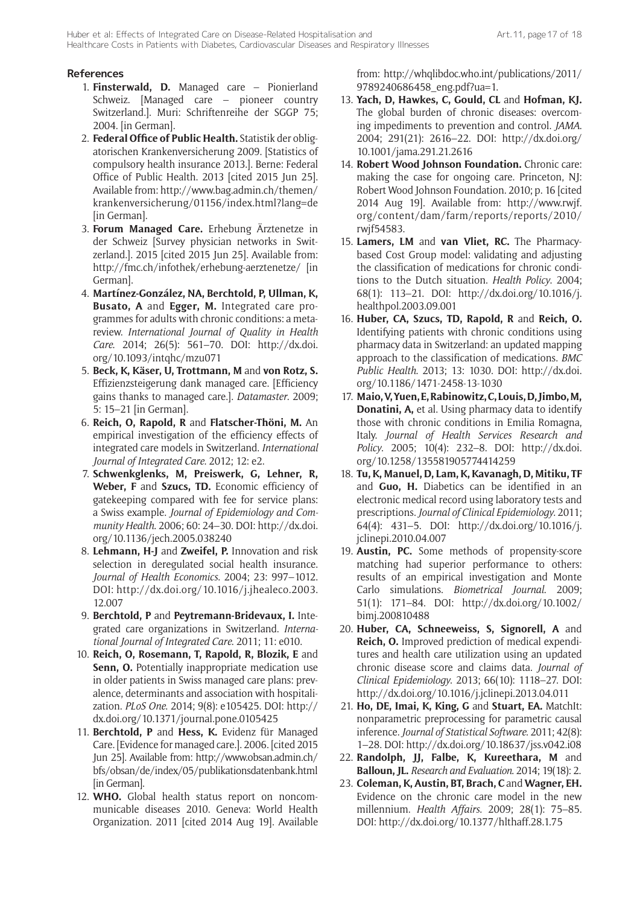# **References**

- 1. **Finsterwald, D.** Managed care Pionierland Schweiz. [Managed care – pioneer country Switzerland.]. Muri: Schriftenreihe der SGGP 75; 2004. [in German].
- 2. **Federal Office of Public Health.** Statistik der obligatorischen Krankenversicherung 2009. [Statistics of compulsory health insurance 2013.]. Berne: Federal Office of Public Health. 2013 [cited 2015 Jun 25]. Available from: [http://www.bag.admin.ch/themen/](http://www.bag.admin.ch/themen/krankenversicherung/01156/index.html?lang=de) [krankenversicherung/01156/index.html?lang=de](http://www.bag.admin.ch/themen/krankenversicherung/01156/index.html?lang=de) [in German].
- 3. **Forum Managed Care.** Erhebung Ärztenetze in der Schweiz [Survey physician networks in Switzerland.]. 2015 [cited 2015 Jun 25]. Available from: <http://fmc.ch/infothek/erhebung-aerztenetze/>[in German].
- 4. **Martínez-González, NA, Berchtold, P, Ullman, K, Busato, A** and **Egger, M.** Integrated care programmes for adults with chronic conditions: a metareview. *International Journal of Quality in Health Care*. 2014; 26(5): 561–70. DOI: [http://dx.doi.](http://dx.doi.org/10.1093/intqhc/mzu071) [org/10.1093/intqhc/mzu071](http://dx.doi.org/10.1093/intqhc/mzu071)
- 5. **Beck, K, Käser, U, Trottmann, M** and **von Rotz, S.** Effizienzsteigerung dank managed care. [Efficiency gains thanks to managed care.]. *Datamaster*. 2009; 5: 15–21 [in German].
- 6. **Reich, O, Rapold, R** and **Flatscher-Thöni, M.** An empirical investigation of the efficiency effects of integrated care models in Switzerland. *International Journal of Integrated Care*. 2012; 12: e2.
- 7. **Schwenkglenks, M, Preiswerk, G, Lehner, R, Weber, F** and **Szucs, TD.** Economic efficiency of gatekeeping compared with fee for service plans: a Swiss example. *Journal of Epidemiology and Community Health*. 2006; 60: 24–30. DOI: [http://dx.doi.](http://dx.doi.org/10.1136/jech.2005.038240) [org/10.1136/jech.2005.038240](http://dx.doi.org/10.1136/jech.2005.038240)
- 8. **Lehmann, H-J** and **Zweifel, P.** Innovation and risk selection in deregulated social health insurance. *Journal of Health Economics*. 2004; 23: 997–1012. DOI: [http://dx.doi.org/10.1016/j.jhealeco.2003.](http://dx.doi.org/10.1016/j.jhealeco.2003.12.007) [12.007](http://dx.doi.org/10.1016/j.jhealeco.2003.12.007)
- 9. **Berchtold, P** and **Peytremann-Bridevaux, I.** Integrated care organizations in Switzerland. *International Journal of Integrated Care*. 2011; 11: e010.
- 10. **Reich, O, Rosemann, T, Rapold, R, Blozik, E** and **Senn, O.** Potentially inappropriate medication use in older patients in Swiss managed care plans: prevalence, determinants and association with hospitalization. *PLoS One*. 2014; 9(8): e105425. DOI: [http://](http://dx.doi.org/10.1371/journal.pone.0105425) [dx.doi.org/10.1371/journal.pone.0105425](http://dx.doi.org/10.1371/journal.pone.0105425)
- 11. **Berchtold, P** and **Hess, K.** Evidenz für Managed Care. [Evidence for managed care.]. 2006. [cited 2015 Jun 25]. Available from[: http://www.obsan.admin.ch/](http://www.obsan.admin.ch/bfs/obsan/de/index/05/publikationsdatenbank.html) [bfs/obsan/de/index/05/publikationsdatenbank.html](http://www.obsan.admin.ch/bfs/obsan/de/index/05/publikationsdatenbank.html) [in German].
- 12. **WHO.** Global health status report on noncommunicable diseases 2010. Geneva: World Health Organization. 2011 [cited 2014 Aug 19]. Available

from: [http://whqlibdoc.who.int/publications/2011/](http://whqlibdoc.who.int/publications/2011/9789240686458_eng.pdf?ua=1) [9789240686458\\_eng.pdf?ua=1.](http://whqlibdoc.who.int/publications/2011/9789240686458_eng.pdf?ua=1)

- 13. **Yach, D, Hawkes, C, Gould, CL** and **Hofman, KJ.** The global burden of chronic diseases: overcoming impediments to prevention and control. *JAMA*. 2004; 291(21): 2616–22. DOI: [http://dx.doi.org/](http://dx.doi.org/10.1001/jama.291.21.2616) [10.1001/jama.291.21.2616](http://dx.doi.org/10.1001/jama.291.21.2616)
- 14. **Robert Wood Johnson Foundation.** Chronic care: making the case for ongoing care. Princeton, NJ: Robert Wood Johnson Foundation. 2010; p. 16 [cited 2014 Aug 19]. Available from[: http://www.rwjf.](http://www.rwjf.org/content/dam/farm/reports/reports/2010/rwjf54583) [org/content/dam/farm/reports/reports/2010/](http://www.rwjf.org/content/dam/farm/reports/reports/2010/rwjf54583) [rwjf54583.](http://www.rwjf.org/content/dam/farm/reports/reports/2010/rwjf54583)
- 15. **Lamers, LM** and **van Vliet, RC.** The Pharmacybased Cost Group model: validating and adjusting the classification of medications for chronic conditions to the Dutch situation. *Health Policy*. 2004; 68(1): 113–21. DOI: [http://dx.doi.org/10.1016/j.](http://dx.doi.org/10.1016/j.healthpol.2003.09.001) [healthpol.2003.09.001](http://dx.doi.org/10.1016/j.healthpol.2003.09.001)
- 16. **Huber, CA, Szucs, TD, Rapold, R** and **Reich, O.** Identifying patients with chronic conditions using pharmacy data in Switzerland: an updated mapping approach to the classification of medications. *BMC Public Health*. 2013; 13: 1030. DOI: [http://dx.doi.](http://dx.doi.org/10.1186/1471-2458-13-1030) [org/10.1186/1471-2458-13-1030](http://dx.doi.org/10.1186/1471-2458-13-1030)
- 17. **Maio, V, Yuen, E, Rabinowitz, C, Louis, D, Jimbo, M, Donatini, A,** et al. Using pharmacy data to identify those with chronic conditions in Emilia Romagna, Italy. *Journal of Health Services Research and Policy*. 2005; 10(4): 232–8. DOI: [http://dx.doi.](http://dx.doi.org/10.1258/135581905774414259) [org/10.1258/135581905774414259](http://dx.doi.org/10.1258/135581905774414259)
- 18. **Tu, K, Manuel, D, Lam, K, Kavanagh, D, Mitiku, TF** and **Guo, H.** Diabetics can be identified in an electronic medical record using laboratory tests and prescriptions. *Journal of Clinical Epidemiology*. 2011; 64(4): 431–5. DOI: [http://dx.doi.org/10.1016/j.](http://dx.doi.org/10.1016/j.jclinepi.2010.04.007) [jclinepi.2010.04.007](http://dx.doi.org/10.1016/j.jclinepi.2010.04.007)
- 19. **Austin, PC.** Some methods of propensity-score matching had superior performance to others: results of an empirical investigation and Monte Carlo simulations. *Biometrical Journal*. 2009; 51(1): 171–84. DOI: [http://dx.doi.org/10.1002/](http://dx.doi.org/10.1002/bimj.200810488) [bimj.200810488](http://dx.doi.org/10.1002/bimj.200810488)
- 20. **Huber, CA, Schneeweiss, S, Signorell, A** and **Reich, O.** Improved prediction of medical expenditures and health care utilization using an updated chronic disease score and claims data. *Journal of Clinical Epidemiology*. 2013; 66(10): 1118–27. DOI: <http://dx.doi.org/10.1016/j.jclinepi.2013.04.011>
- 21. **Ho, DE, Imai, K, King, G** and **Stuart, EA.** MatchIt: nonparametric preprocessing for parametric causal inference. *Journal of Statistical Software*. 2011; 42(8): 1–28. DOI: <http://dx.doi.org/10.18637/jss.v042.i08>
- 22. **Randolph, JJ, Falbe, K, Kureethara, M** and **Balloun, JL.** *Research and Evaluation*. 2014; 19(18): 2.
- 23. **Coleman, K, Austin, BT, Brach, C** and **Wagner, EH.** Evidence on the chronic care model in the new millennium. *Health Affairs*. 2009; 28(1): 75–85. DOI: <http://dx.doi.org/10.1377/hlthaff.28.1.75>